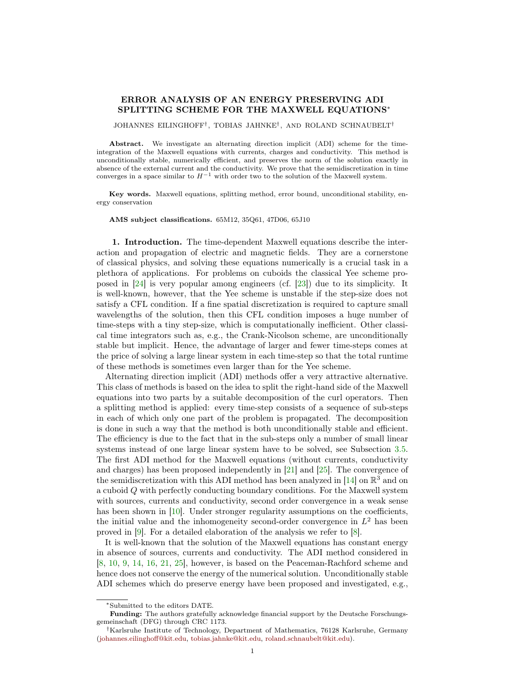## ERROR ANALYSIS OF AN ENERGY PRESERVING ADI SPLITTING SCHEME FOR THE MAXWELL EQUATIONS<sup>∗</sup>

JOHANNES EILINGHOFF† , TOBIAS JAHNKE† , AND ROLAND SCHNAUBELT†

Abstract. We investigate an alternating direction implicit (ADI) scheme for the timeintegration of the Maxwell equations with currents, charges and conductivity. This method is unconditionally stable, numerically efficient, and preserves the norm of the solution exactly in absence of the external current and the conductivity. We prove that the semidiscretization in time converges in a space similar to  $H^{-1}$  with order two to the solution of the Maxwell system.

Key words. Maxwell equations, splitting method, error bound, unconditional stability, energy conservation

AMS subject classifications. 65M12, 35Q61, 47D06, 65J10

1. Introduction. The time-dependent Maxwell equations describe the interaction and propagation of electric and magnetic fields. They are a cornerstone of classical physics, and solving these equations numerically is a crucial task in a plethora of applications. For problems on cuboids the classical Yee scheme proposed in [\[24\]](#page-19-0) is very popular among engineers (cf. [\[23\]](#page-19-1)) due to its simplicity. It is well-known, however, that the Yee scheme is unstable if the step-size does not satisfy a CFL condition. If a fine spatial discretization is required to capture small wavelengths of the solution, then this CFL condition imposes a huge number of time-steps with a tiny step-size, which is computationally inefficient. Other classical time integrators such as, e.g., the Crank-Nicolson scheme, are unconditionally stable but implicit. Hence, the advantage of larger and fewer time-steps comes at the price of solving a large linear system in each time-step so that the total runtime of these methods is sometimes even larger than for the Yee scheme.

Alternating direction implicit (ADI) methods offer a very attractive alternative. This class of methods is based on the idea to split the right-hand side of the Maxwell equations into two parts by a suitable decomposition of the curl operators. Then a splitting method is applied: every time-step consists of a sequence of sub-steps in each of which only one part of the problem is propagated. The decomposition is done in such a way that the method is both unconditionally stable and efficient. The efficiency is due to the fact that in the sub-steps only a number of small linear systems instead of one large linear system have to be solved, see Subsection [3.5.](#page-9-0) The first ADI method for the Maxwell equations (without currents, conductivity and charges) has been proposed independently in [\[21\]](#page-19-2) and [\[25\]](#page-19-3). The convergence of the semidiscretization with this ADI method has been analyzed in [\[14\]](#page-18-0) on  $\mathbb{R}^3$  and on a cuboid Q with perfectly conducting boundary conditions. For the Maxwell system with sources, currents and conductivity, second order convergence in a weak sense has been shown in [\[10\]](#page-18-1). Under stronger regularity assumptions on the coefficients, the initial value and the inhomogeneity second-order convergence in  $L^2$  has been proved in [\[9\]](#page-18-2). For a detailed elaboration of the analysis we refer to [\[8\]](#page-18-3).

It is well-known that the solution of the Maxwell equations has constant energy in absence of sources, currents and conductivity. The ADI method considered in [\[8,](#page-18-3) [10,](#page-18-1) [9,](#page-18-2) [14,](#page-18-0) [16,](#page-18-4) [21,](#page-19-2) [25\]](#page-19-3), however, is based on the Peaceman-Rachford scheme and hence does not conserve the energy of the numerical solution. Unconditionally stable ADI schemes which do preserve energy have been proposed and investigated, e.g.,

<sup>∗</sup>Submitted to the editors DATE.

Funding: The authors gratefully acknowledge financial support by the Deutsche Forschungsgemeinschaft (DFG) through CRC 1173.

<sup>†</sup>Karlsruhe Institute of Technology, Department of Mathematics, 76128 Karlsruhe, Germany [\(johannes.eilinghoff@kit.edu,](mailto:johannes.eilinghoff@kit.edu) [tobias.jahnke@kit.edu,](mailto:tobias.jahnke@kit.edu) [roland.schnaubelt@kit.edu\)](mailto:roland.schnaubelt@kit.edu).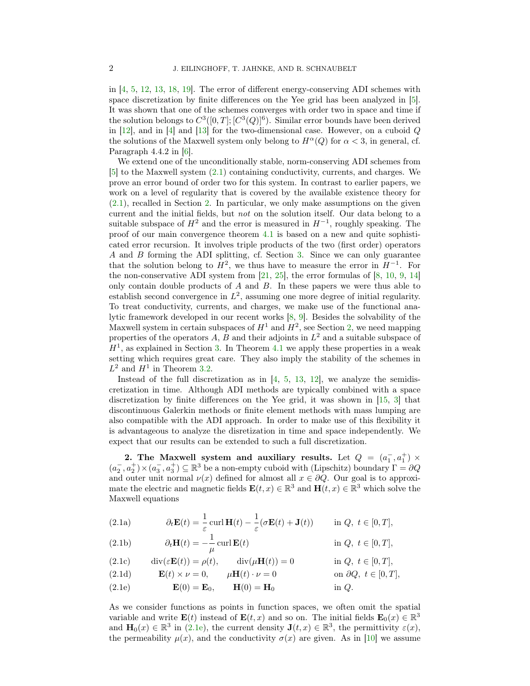in [\[4,](#page-18-5) [5,](#page-18-6) [12,](#page-18-7) [13,](#page-18-8) [18,](#page-18-9) [19\]](#page-18-10). The error of different energy-conserving ADI schemes with space discretization by finite differences on the Yee grid has been analyzed in [\[5\]](#page-18-6). It was shown that one of the schemes converges with order two in space and time if the solution belongs to  $C^3([0,T]; [C^3(Q)]^6)$ . Similar error bounds have been derived in [\[12\]](#page-18-7), and in [\[4\]](#page-18-5) and [\[13\]](#page-18-8) for the two-dimensional case. However, on a cuboid  $Q$ the solutions of the Maxwell system only belong to  $H^{\alpha}(Q)$  for  $\alpha < 3$ , in general, cf. Paragraph 4.4.2 in [\[6\]](#page-18-11).

We extend one of the unconditionally stable, norm-conserving ADI schemes from [\[5\]](#page-18-6) to the Maxwell system [\(2.1\)](#page-1-0) containing conductivity, currents, and charges. We prove an error bound of order two for this system. In contrast to earlier papers, we work on a level of regularity that is covered by the available existence theory for [\(2.1\)](#page-1-0), recalled in Section [2.](#page-1-1) In particular, we only make assumptions on the given current and the initial fields, but not on the solution itself. Our data belong to a suitable subspace of  $H^2$  and the error is measured in  $H^{-1}$ , roughly speaking. The proof of our main convergence theorem [4.1](#page-11-0) is based on a new and quite sophisticated error recursion. It involves triple products of the two (first order) operators A and B forming the ADI splitting, cf. Section [3.](#page-4-0) Since we can only guarantee that the solution belong to  $H^2$ , we thus have to measure the error in  $H^{-1}$ . For the non-conservative ADI system from  $[21, 25]$  $[21, 25]$  $[21, 25]$ , the error formulas of  $[8, 10, 9, 14]$  $[8, 10, 9, 14]$  $[8, 10, 9, 14]$  $[8, 10, 9, 14]$  $[8, 10, 9, 14]$  $[8, 10, 9, 14]$  $[8, 10, 9, 14]$ only contain double products of  $A$  and  $B$ . In these papers we were thus able to establish second convergence in  $L^2$ , assuming one more degree of initial regularity. To treat conductivity, currents, and charges, we make use of the functional analytic framework developed in our recent works [\[8,](#page-18-3) [9\]](#page-18-2). Besides the solvability of the Maxwell system in certain subspaces of  $H^1$  and  $H^2$ , see Section [2,](#page-1-1) we need mapping properties of the operators A, B and their adjoints in  $L^2$  and a suitable subspace of  $H<sup>1</sup>$ , as explained in Section [3.](#page-4-0) In Theorem [4.1](#page-11-0) we apply these properties in a weak setting which requires great care. They also imply the stability of the schemes in  $L^2$  and  $H^1$  in Theorem [3.2.](#page-8-0)

Instead of the full discretization as in  $[4, 5, 13, 12]$  $[4, 5, 13, 12]$  $[4, 5, 13, 12]$  $[4, 5, 13, 12]$  $[4, 5, 13, 12]$  $[4, 5, 13, 12]$  $[4, 5, 13, 12]$ , we analyze the semidiscretization in time. Although ADI methods are typically combined with a space discretization by finite differences on the Yee grid, it was shown in [\[15,](#page-18-12) [3\]](#page-18-13) that discontinuous Galerkin methods or finite element methods with mass lumping are also compatible with the ADI approach. In order to make use of this flexibility it is advantageous to analyze the disretization in time and space independently. We expect that our results can be extended to such a full discretization.

<span id="page-1-1"></span>2. The Maxwell system and auxiliary results. Let  $Q = (a_1^-, a_1^+) \times$  $(a_2^-, a_2^+) \times (a_3^-, a_3^+) \subseteq \mathbb{R}^3$  be a non-empty cuboid with (Lipschitz) boundary  $\Gamma = \partial Q$ and outer unit normal  $\nu(x)$  defined for almost all  $x \in \partial Q$ . Our goal is to approximate the electric and magnetic fields  $\mathbf{E}(t,x) \in \mathbb{R}^3$  and  $\mathbf{H}(t,x) \in \mathbb{R}^3$  which solve the Maxwell equations

<span id="page-1-0"></span>(2.1a) 
$$
\partial_t \mathbf{E}(t) = \frac{1}{\varepsilon} \operatorname{curl} \mathbf{H}(t) - \frac{1}{\varepsilon} (\sigma \mathbf{E}(t) + \mathbf{J}(t)) \quad \text{in } Q, \ t \in [0, T],
$$

(2.1b) 
$$
\partial_t \mathbf{H}(t) = -\frac{1}{\mu} \operatorname{curl} \mathbf{E}(t) \qquad \text{in } Q, \ t \in [0, T],
$$

<span id="page-1-4"></span>(2.1c) 
$$
\operatorname{div}(\varepsilon \mathbf{E}(t)) = \rho(t), \qquad \operatorname{div}(\mu \mathbf{H}(t)) = 0 \qquad \text{in } Q, \ t \in [0, T],
$$

<span id="page-1-3"></span>(2.1d)  $\mathbf{E}(t) \times \nu = 0, \quad \mu \mathbf{H}(t) \cdot \nu = 0 \quad \text{on } \partial Q, t \in [0, T],$ 

<span id="page-1-2"></span>(2.1e)  $\mathbf{E}(0) = \mathbf{E}_0$ ,  $\mathbf{H}(0) = \mathbf{H}_0$  in Q.

As we consider functions as points in function spaces, we often omit the spatial variable and write  $\mathbf{E}(t)$  instead of  $\mathbf{E}(t,x)$  and so on. The initial fields  $\mathbf{E}_0(x) \in \mathbb{R}^3$ and  $\mathbf{H}_0(x) \in \mathbb{R}^3$  in [\(2.1e\)](#page-1-2), the current density  $\mathbf{J}(t,x) \in \mathbb{R}^3$ , the permittivity  $\varepsilon(x)$ , the permeability  $\mu(x)$ , and the conductivity  $\sigma(x)$  are given. As in [\[10\]](#page-18-1) we assume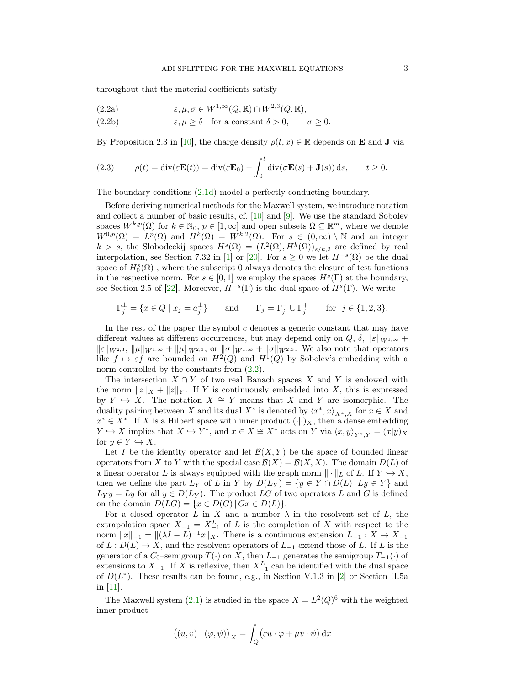<span id="page-2-0"></span>throughout that the material coefficients satisfy

(2.2a) 
$$
\varepsilon, \mu, \sigma \in W^{1,\infty}(Q,\mathbb{R}) \cap W^{2,3}(Q,\mathbb{R}),
$$

(2.2b) 
$$
\varepsilon, \mu \ge \delta
$$
 for a constant  $\delta > 0$ ,  $\sigma \ge 0$ .

By Proposition 2.3 in [\[10\]](#page-18-1), the charge density  $\rho(t, x) \in \mathbb{R}$  depends on **E** and **J** via

<span id="page-2-1"></span>(2.3) 
$$
\rho(t) = \text{div}(\varepsilon \mathbf{E}(t)) = \text{div}(\varepsilon \mathbf{E}_0) - \int_0^t \text{div}(\sigma \mathbf{E}(s) + \mathbf{J}(s)) ds, \qquad t \ge 0.
$$

The boundary conditions [\(2.1d\)](#page-1-3) model a perfectly conducting boundary.

Before deriving numerical methods for the Maxwell system, we introduce notation and collect a number of basic results, cf. [\[10\]](#page-18-1) and [\[9\]](#page-18-2). We use the standard Sobolev spaces  $W^{k,p}(\Omega)$  for  $k \in \mathbb{N}_0$ ,  $p \in [1,\infty]$  and open subsets  $\Omega \subseteq \mathbb{R}^m$ , where we denote  $W^{0,p}(\Omega) = L^p(\Omega)$  and  $H^k(\Omega) = W^{k,2}(\Omega)$ . For  $s \in (0,\infty) \setminus \mathbb{N}$  and an integer k > s, the Slobodeckij spaces  $H^s(\Omega) = (L^2(\Omega), H^k(\Omega))_{s/k, 2}$  are defined by real interpolation, see Section 7.32 in [\[1\]](#page-18-14) or [\[20\]](#page-19-4). For  $s \geq 0$  we let  $H^{-s}(\Omega)$  be the dual space of  $H^s_0(\Omega)$  , where the subscript 0 always denotes the closure of test functions in the respective norm. For  $s \in [0,1]$  we employ the spaces  $H<sup>s</sup>(\Gamma)$  at the boundary, see Section 2.5 of [\[22\]](#page-19-5). Moreover,  $H^{-s}(\Gamma)$  is the dual space of  $H^{s}(\Gamma)$ . We write

$$
\Gamma_j^{\pm} = \{ x \in \overline{Q} \mid x_j = a_j^{\pm} \} \quad \text{and} \quad \Gamma_j = \Gamma_j^- \cup \Gamma_j^+ \quad \text{for } j \in \{1, 2, 3\}.
$$

In the rest of the paper the symbol  $c$  denotes a generic constant that may have different values at different occurrences, but may depend only on  $Q, \delta, \|\varepsilon\|_{W^{1,\infty}} +$  $\|\varepsilon\|_{W^{2,3}}$ ,  $\|\mu\|_{W^{1,\infty}} + \|\mu\|_{W^{2,3}}$ , or  $\|\sigma\|_{W^{1,\infty}} + \|\sigma\|_{W^{2,3}}$ . We also note that operators like  $f \mapsto \varepsilon f$  are bounded on  $H^2(Q)$  and  $H^1(Q)$  by Sobolev's embedding with a norm controlled by the constants from  $(2.2)$ .

The intersection  $X \cap Y$  of two real Banach spaces X and Y is endowed with the norm  $||z||_X + ||z||_Y$ . If Y is continuously embedded into X, this is expressed by  $Y \hookrightarrow X$ . The notation  $X \cong Y$  means that X and Y are isomorphic. The duality pairing between X and its dual  $X^*$  is denoted by  $\langle x^*, x \rangle_{X^*,X}$  for  $x \in X$  and  $x^* \in X^*$ . If X is a Hilbert space with inner product  $(\cdot | \cdot)_X$ , then a dense embedding  $Y \hookrightarrow X$  implies that  $X \hookrightarrow Y^*$ , and  $x \in X \cong X^*$  acts on Y via  $\langle x, y \rangle_{Y^*,Y} = (x|y)_X$ for  $y \in Y \hookrightarrow X$ .

Let I be the identity operator and let  $\mathcal{B}(X, Y)$  be the space of bounded linear operators from X to Y with the special case  $\mathcal{B}(X) = \mathcal{B}(X, X)$ . The domain  $D(L)$  of a linear operator L is always equipped with the graph norm  $\| \cdot \|_L$  of L. If  $Y \hookrightarrow X$ , then we define the part  $L_Y$  of L in Y by  $D(L_Y) = \{y \in Y \cap D(L) | L y \in Y\}$  and  $L_Y y = Ly$  for all  $y \in D(L_Y)$ . The product LG of two operators L and G is defined on the domain  $D(LG) = \{x \in D(G) | Gx \in D(L)\}.$ 

For a closed operator L in X and a number  $\lambda$  in the resolvent set of L, the extrapolation space  $X_{-1} = X_{-1}^L$  of L is the completion of X with respect to the norm  $||x||_{-1} = ||(\lambda I - L)^{-1}x||_X$ . There is a continuous extension  $L_{-1} : X \to X_{-1}$ of  $L: D(L) \to X$ , and the resolvent operators of  $L_{-1}$  extend those of L. If L is the generator of a  $C_0$ –semigroup  $T(\cdot)$  on X, then  $L_{-1}$  generates the semigroup  $T_{-1}(\cdot)$  of extensions to  $X_{-1}$ . If X is reflexive, then  $X_{-1}^L$  can be identified with the dual space of  $D(L^*)$ . These results can be found, e.g., in Section V.1.3 in [\[2\]](#page-18-15) or Section II.5a in [\[11\]](#page-18-16).

The Maxwell system [\(2.1\)](#page-1-0) is studied in the space  $X = L^2(Q)^6$  with the weighted inner product

$$
((u, v) | (\varphi, \psi))_X = \int_Q (\varepsilon u \cdot \varphi + \mu v \cdot \psi) \,dx
$$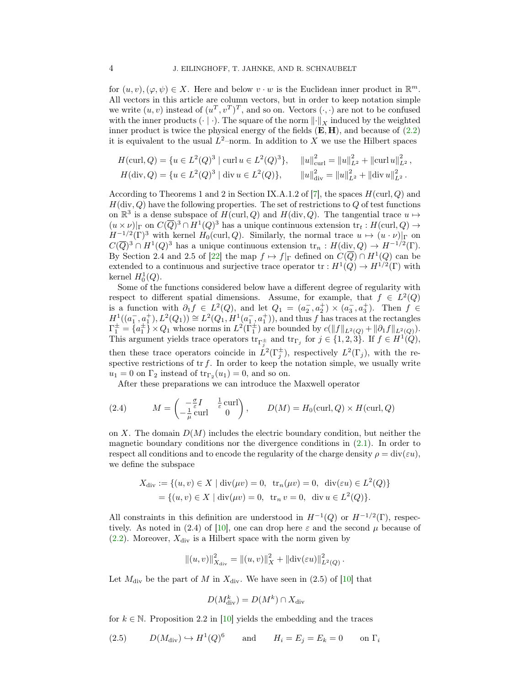for  $(u, v), (\varphi, \psi) \in X$ . Here and below  $v \cdot w$  is the Euclidean inner product in  $\mathbb{R}^m$ . All vectors in this article are column vectors, but in order to keep notation simple we write  $(u, v)$  instead of  $(u^T, v^T)^T$ , and so on. Vectors  $(\cdot, \cdot)$  are not to be confused with the inner products  $(\cdot | \cdot)$ . The square of the norm  $\left\| \cdot \right\|_X$  induced by the weighted inner product is twice the physical energy of the fields  $(E, H)$ , and because of  $(2.2)$ it is equivalent to the usual  $L^2$ -norm. In addition to X we use the Hilbert spaces

$$
H(\text{curl}, Q) = \{u \in L^{2}(Q)^{3} \mid \text{curl } u \in L^{2}(Q)^{3}\}, \quad ||u||_{\text{curl}}^{2} = ||u||_{L^{2}}^{2} + ||\text{curl } u||_{L^{2}}^{2},
$$
  

$$
H(\text{div}, Q) = \{u \in L^{2}(Q)^{3} \mid \text{div } u \in L^{2}(Q)\}, \quad ||u||_{\text{div}}^{2} = ||u||_{L^{2}}^{2} + ||\text{div } u||_{L^{2}}^{2}.
$$

According to Theorems 1 and 2 in Section IX.A.1.2 of [\[7\]](#page-18-17), the spaces  $H(\text{curl}, Q)$  and  $H(\text{div}, Q)$  have the following properties. The set of restrictions to Q of test functions on  $\mathbb{R}^3$  is a dense subspace of  $H(\text{curl}, Q)$  and  $H(\text{div}, Q)$ . The tangential trace  $u \mapsto$  $(u \times \nu)|_{\Gamma}$  on  $C(\overline{Q})^3 \cap H^1(Q)^3$  has a unique continuous extension  $\text{tr}_t : H(\text{curl}, Q) \to$  $H^{-1/2}(\Gamma)^3$  with kernel  $H_0(\text{curl}, Q)$ . Similarly, the normal trace  $u \mapsto (u \cdot \nu)|_{\Gamma}$  on  $C(\overline{Q})^3 \cap H^1(Q)^3$  has a unique continuous extension  $\text{tr}_n : H(\text{div}, Q) \to H^{-1/2}(\Gamma)$ . By Section 2.4 and 2.5 of [\[22\]](#page-19-5) the map  $f \mapsto f|_{\Gamma}$  defined on  $C(\overline{Q}) \cap H^1(Q)$  can be extended to a continuous and surjective trace operator  $\text{tr}: H^1(Q) \to H^{1/2}(\Gamma)$  with kernel  $H_0^1(Q)$ .

Some of the functions considered below have a different degree of regularity with respect to different spatial dimensions. Assume, for example, that  $f \in L^2(Q)$ is a function with  $\partial_1 f \in L^2(Q)$ , and let  $Q_1 = (a_2^-, a_2^+) \times (a_3^-, a_3^+)$ . Then  $f \in$  $H^1((a_1^-, a_1^+), L^2(Q_1)) \cong L^2(Q_1, H^1(a_1^-, a_1^+)),$  and thus f has traces at the rectangles  $\Gamma_1^{\pm} = \overline{\{a_1^{\pm}\}} \times Q_1$  whose norms in  $L^2(\Gamma_1^{\pm})$  are bounded by  $c(||f||_{L^2(Q)} + ||\partial_1 f||_{L^2(Q)})$ . This argument yields trace operators  $\text{tr}_{\Gamma_j^{\pm}}$  and  $\text{tr}_{\Gamma_j}$  for  $j \in \{1, 2, 3\}$ . If  $f \in H^1(Q)$ , then these trace operators coincide in  $\check{L}^2(\Gamma_j^{\pm})$ , respectively  $L^2(\Gamma_j)$ , with the respective restrictions of  $\operatorname{tr} f$ . In order to keep the notation simple, we usually write  $u_1 = 0$  on  $\Gamma_2$  instead of  $\text{tr}_{\Gamma_2}(u_1) = 0$ , and so on.

After these preparations we can introduce the Maxwell operator

<span id="page-3-0"></span>(2.4) 
$$
M = \begin{pmatrix} -\frac{\sigma}{\varepsilon}I & \frac{1}{\varepsilon} \operatorname{curl} \\ -\frac{1}{\mu} \operatorname{curl} & 0 \end{pmatrix}, \qquad D(M) = H_0(\operatorname{curl}, Q) \times H(\operatorname{curl}, Q)
$$

on X. The domain  $D(M)$  includes the electric boundary condition, but neither the magnetic boundary conditions nor the divergence conditions in [\(2.1\)](#page-1-0). In order to respect all conditions and to encode the regularity of the charge density  $\rho = \text{div}(\varepsilon u)$ , we define the subspace

$$
X_{\text{div}} := \{ (u, v) \in X \mid \text{div}(\mu v) = 0, \text{ tr}_n(\mu v) = 0, \text{ div}(\varepsilon u) \in L^2(Q) \}
$$
  
=  $\{ (u, v) \in X \mid \text{div}(\mu v) = 0, \text{ tr}_n v = 0, \text{ div } u \in L^2(Q) \}.$ 

All constraints in this definition are understood in  $H^{-1}(Q)$  or  $H^{-1/2}(\Gamma)$ , respec-tively. As noted in (2.4) of [\[10\]](#page-18-1), one can drop here  $\varepsilon$  and the second  $\mu$  because of  $(2.2)$ . Moreover,  $X_{\text{div}}$  is a Hilbert space with the norm given by

$$
\left\|(u,v)\right\|_{X_{\text{div}}}^2 = \left\|(u,v)\right\|_X^2 + \left\|\text{div}(\varepsilon u)\right\|_{L^2(Q)}^2.
$$

Let  $M_{\text{div}}$  be the part of M in  $X_{\text{div}}$ . We have seen in (2.5) of [\[10\]](#page-18-1) that

$$
D(M_{\rm div}^k) = D(M^k) \cap X_{\rm div}
$$

for  $k \in \mathbb{N}$ . Proposition 2.2 in [\[10\]](#page-18-1) yields the embedding and the traces

<span id="page-3-1"></span>(2.5) 
$$
D(M_{\text{div}}) \hookrightarrow H^1(Q)^6
$$
 and  $H_i = E_j = E_k = 0$  on  $\Gamma_i$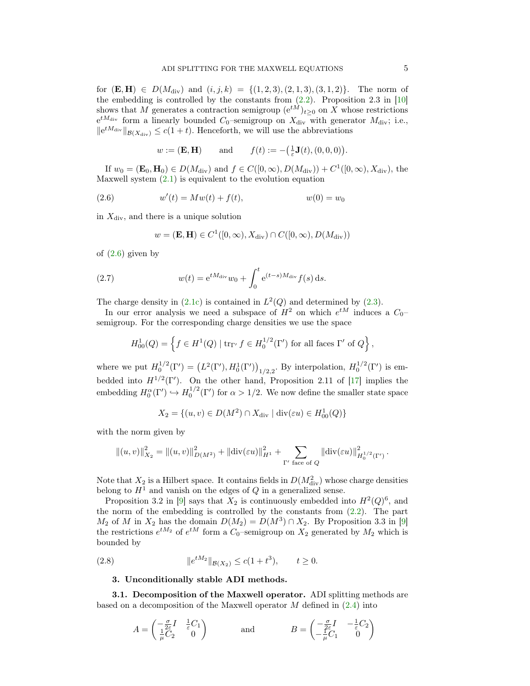for  $(E, H) \in D(M_{\text{div}})$  and  $(i, j, k) = \{(1, 2, 3), (2, 1, 3), (3, 1, 2)\}.$  The norm of the embedding is controlled by the constants from  $(2.2)$ . Proposition 2.3 in [\[10\]](#page-18-1) shows that M generates a contraction semigroup  $(e^{tM})_{t\geq0}$  on X whose restrictions  $e^{tM_{\text{div}}}$  form a linearly bounded  $C_0$ -semigroup on  $X_{\text{div}}$  with generator  $M_{\text{div}}$ ; i.e.,  $||e^{tM_{\text{div}}}||_{\mathcal{B}(X_{\text{div}})} \leq c(1+t)$ . Henceforth, we will use the abbreviations

$$
w := (\mathbf{E}, \mathbf{H})
$$
 and  $f(t) := -(\frac{1}{\varepsilon}\mathbf{J}(t), (0, 0, 0)).$ 

If  $w_0 = (\mathbf{E}_0, \mathbf{H}_0) \in D(M_{\text{div}})$  and  $f \in C([0, \infty), D(M_{\text{div}})) + C^1([0, \infty), X_{\text{div}})$ , the Maxwell system  $(2.1)$  is equivalent to the evolution equation

<span id="page-4-1"></span>(2.6) 
$$
w'(t) = Mw(t) + f(t), \qquad w(0) = w_0
$$

in  $X_{\text{div}}$ , and there is a unique solution

$$
w = (\mathbf{E}, \mathbf{H}) \in C^1([0, \infty), X_{\text{div}}) \cap C([0, \infty), D(M_{\text{div}}))
$$

of  $(2.6)$  given by

<span id="page-4-2"></span>(2.7) 
$$
w(t) = e^{tM_{\text{div}}}w_0 + \int_0^t e^{(t-s)M_{\text{div}}}f(s) ds.
$$

The charge density in  $(2.1c)$  is contained in  $L^2(Q)$  and determined by  $(2.3)$ .

In our error analysis we need a subspace of  $H^2$  on which  $e^{tM}$  induces a  $C_0$ semigroup. For the corresponding charge densities we use the space

$$
H_{00}^1(Q) = \left\{ f \in H^1(Q) \mid \text{tr}_{\Gamma'} f \in H_0^{1/2}(\Gamma') \text{ for all faces } \Gamma' \text{ of } Q \right\},\
$$

where we put  $H_0^{1/2}(\Gamma') = (L^2(\Gamma'), H_0^1(\Gamma'))_{1/2,2}$ . By interpolation,  $H_0^{1/2}(\Gamma')$  is embedded into  $H^{1/2}(\Gamma')$ . On the other hand, Proposition 2.11 of [\[17\]](#page-18-18) implies the embedding  $H_0^{\alpha}(\Gamma') \hookrightarrow H_0^{1/2}(\Gamma')$  for  $\alpha > 1/2$ . We now define the smaller state space

$$
X_2 = \{(u, v) \in D(M^2) \cap X_{\text{div}} \mid \text{div}(\varepsilon u) \in H^1_{00}(Q)\}\
$$

with the norm given by

$$
||(u, v)||_{X_2}^2 = ||(u, v)||_{D(M^2)}^2 + ||div(\varepsilon u)||_{H^1}^2 + \sum_{\Gamma' \text{ face of } Q} ||div(\varepsilon u)||_{H_0^{1/2}(\Gamma')}^2.
$$

Note that  $X_2$  is a Hilbert space. It contains fields in  $D(M_{\text{div}}^2)$  whose charge densities belong to  $H<sup>1</sup>$  and vanish on the edges of Q in a generalized sense.

Proposition 3.2 in [\[9\]](#page-18-2) says that  $X_2$  is continuously embedded into  $H^2(Q)^6$ , and the norm of the embedding is controlled by the constants from  $(2.2)$ . The part  $M_2$  of M in  $X_2$  has the domain  $D(M_2) = D(M^3) \cap X_2$ . By Proposition 3.3 in [\[9\]](#page-18-2) the restrictions  $e^{tM_2}$  of  $e^{tM}$  form a  $C_0$ -semigroup on  $X_2$  generated by  $M_2$  which is bounded by

(2.8) 
$$
||e^{tM_2}||_{\mathcal{B}(X_2)} \le c(1+t^3), \qquad t \ge 0.
$$

## <span id="page-4-3"></span><span id="page-4-0"></span>3. Unconditionally stable ADI methods.

3.1. Decomposition of the Maxwell operator. ADI splitting methods are based on a decomposition of the Maxwell operator  $M$  defined in  $(2.4)$  into

$$
A = \begin{pmatrix} -\frac{\sigma}{2\varepsilon}I & \frac{1}{\varepsilon}C_1 \\ \frac{1}{\mu}C_2 & 0 \end{pmatrix} \quad \text{and} \quad B = \begin{pmatrix} -\frac{\sigma}{2\varepsilon}I & -\frac{1}{\varepsilon}C_2 \\ -\frac{1}{\mu}C_1 & 0 \end{pmatrix}
$$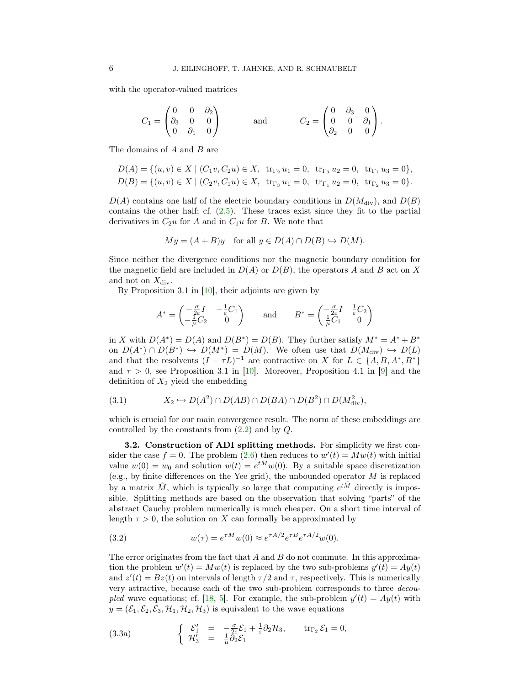with the operator-valued matrices

$$
C_1 = \begin{pmatrix} 0 & 0 & \partial_2 \\ \partial_3 & 0 & 0 \\ 0 & \partial_1 & 0 \end{pmatrix} \quad \text{and} \quad C_2 = \begin{pmatrix} 0 & \partial_3 & 0 \\ 0 & 0 & \partial_1 \\ \partial_2 & 0 & 0 \end{pmatrix}.
$$

The domains of A and B are

$$
D(A) = \{(u, v) \in X \mid (C_1v, C_2u) \in X, \text{ tr}_{\Gamma_2} u_1 = 0, \text{ tr}_{\Gamma_3} u_2 = 0, \text{ tr}_{\Gamma_1} u_3 = 0\},
$$
  
\n
$$
D(B) = \{(u, v) \in X \mid (C_2v, C_1u) \in X, \text{ tr}_{\Gamma_3} u_1 = 0, \text{ tr}_{\Gamma_1} u_2 = 0, \text{ tr}_{\Gamma_2} u_3 = 0\}.
$$

 $D(A)$  contains one half of the electric boundary conditions in  $D(M_{\rm div})$ , and  $D(B)$ contains the other half; cf. [\(2.5\)](#page-3-1). These traces exist since they fit to the partial derivatives in  $C_2u$  for A and in  $C_1u$  for B. We note that

$$
My = (A + B)y \quad \text{for all } y \in D(A) \cap D(B) \hookrightarrow D(M).
$$

Since neither the divergence conditions nor the magnetic boundary condition for the magnetic field are included in  $D(A)$  or  $D(B)$ , the operators A and B act on X and not on  $X_{\text{div}}$ .

By Proposition 3.1 in  $[10]$ , their adjoints are given by

$$
A^* = \begin{pmatrix} -\frac{\sigma}{2\varepsilon}I & -\frac{1}{\varepsilon}C_1 \\ -\frac{1}{\mu}C_2 & 0 \end{pmatrix} \quad \text{and} \quad B^* = \begin{pmatrix} -\frac{\sigma}{2\varepsilon}I & \frac{1}{\varepsilon}C_2 \\ \frac{1}{\mu}C_1 & 0 \end{pmatrix}
$$

in X with  $D(A^*) = D(A)$  and  $D(B^*) = D(B)$ . They further satisfy  $M^* = A^* + B^*$ on  $D(A^*) \cap D(B^*) \hookrightarrow D(M^*) = D(M)$ . We often use that  $D(M_{\text{div}}) \hookrightarrow D(L)$ and that the resolvents  $(I - \tau L)^{-1}$  are contractive on X for  $L \in \{A, B, A^*, B^*\}$ and  $\tau > 0$ , see Proposition 3.1 in [\[10\]](#page-18-1). Moreover, Proposition 4.1 in [\[9\]](#page-18-2) and the definition of  $X_2$  yield the embedding

<span id="page-5-2"></span>
$$
(3.1) \t\t X_2 \hookrightarrow D(A^2) \cap D(AB) \cap D(BA) \cap D(B^2) \cap D(M_{\text{div}}^2),
$$

which is crucial for our main convergence result. The norm of these embeddings are controlled by the constants from  $(2.2)$  and by  $Q$ .

3.2. Construction of ADI splitting methods. For simplicity we first consider the case  $f = 0$ . The problem [\(2.6\)](#page-4-1) then reduces to  $w'(t) = Mw(t)$  with initial value  $w(0) = w_0$  and solution  $w(t) = e^{tM}w(0)$ . By a suitable space discretization (e.g., by finite differences on the Yee grid), the unbounded operator  $M$  is replaced by a matrix  $\tilde{M}$ , which is typically so large that computing  $e^{t\tilde{M}}$  directly is impossible. Splitting methods are based on the observation that solving "parts" of the abstract Cauchy problem numerically is much cheaper. On a short time interval of length  $\tau > 0$ , the solution on X can formally be approximated by

<span id="page-5-0"></span>(3.2) 
$$
w(\tau) = e^{\tau M} w(0) \approx e^{\tau A/2} e^{\tau B} e^{\tau A/2} w(0).
$$

The error originates from the fact that  $A$  and  $B$  do not commute. In this approximation the problem  $w'(t) = Mw(t)$  is replaced by the two sub-problems  $y'(t) = Ay(t)$ and  $z'(t) = Bz(t)$  on intervals of length  $\tau/2$  and  $\tau$ , respectively. This is numerically very attractive, because each of the two sub-problem corresponds to three decou-pled wave equations; cf. [\[18,](#page-18-9) [5\]](#page-18-6). For example, the sub-problem  $y'(t) = Ay(t)$  with  $y = (\mathcal{E}_1, \mathcal{E}_2, \mathcal{E}_3, \mathcal{H}_1, \mathcal{H}_2, \mathcal{H}_3)$  is equivalent to the wave equations

<span id="page-5-1"></span>(3.3a) 
$$
\begin{cases}\n\mathcal{E}'_1 = -\frac{\sigma}{2\varepsilon}\mathcal{E}_1 + \frac{1}{\varepsilon}\partial_2\mathcal{H}_3, & \text{tr}_{\Gamma_2}\mathcal{E}_1 = 0, \\
\mathcal{H}'_3 = \frac{1}{\mu}\partial_2\mathcal{E}_1\n\end{cases}
$$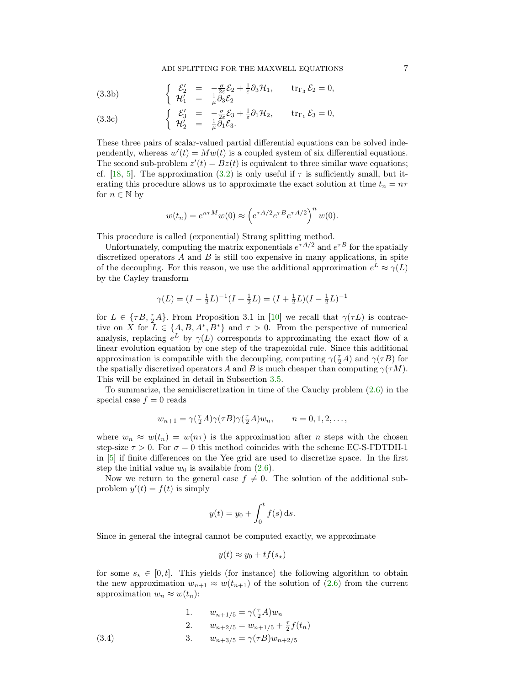<span id="page-6-1"></span>(3.3b) 
$$
\begin{cases}\n\mathcal{E}'_2 = -\frac{\sigma}{2\varepsilon}\mathcal{E}_2 + \frac{1}{\varepsilon}\partial_3\mathcal{H}_1, & \text{tr}_{\Gamma_3}\mathcal{E}_2 = 0, \\
\mathcal{H}'_1 = \frac{1}{\mu}\partial_3\mathcal{E}_2\n\end{cases}
$$

<span id="page-6-2"></span>(3.3c) 
$$
\begin{cases}\n\mathcal{E}'_3 = -\frac{\sigma}{2\varepsilon}\mathcal{E}_3 + \frac{1}{\varepsilon}\partial_1\mathcal{H}_2, & \text{tr}_{\Gamma_1}\mathcal{E}_3 = 0, \\
\mathcal{H}'_2 = \frac{1}{\mu}\partial_1\mathcal{E}_3.\n\end{cases}
$$

These three pairs of scalar-valued partial differential equations can be solved independently, whereas  $w'(t) = Mw(t)$  is a coupled system of six differential equations. The second sub-problem  $z'(t) = Bz(t)$  is equivalent to three similar wave equations; cf. [\[18,](#page-18-9) [5\]](#page-18-6). The approximation [\(3.2\)](#page-5-0) is only useful if  $\tau$  is sufficiently small, but iterating this procedure allows us to approximate the exact solution at time  $t_n = n\tau$ for  $n \in \mathbb{N}$  by

$$
w(t_n) = e^{n\tau M} w(0) \approx \left( e^{\tau A/2} e^{\tau B} e^{\tau A/2} \right)^n w(0).
$$

This procedure is called (exponential) Strang splitting method.

Unfortunately, computing the matrix exponentials  $e^{\tau A/2}$  and  $e^{\tau B}$  for the spatially discretized operators  $A$  and  $B$  is still too expensive in many applications, in spite of the decoupling. For this reason, we use the additional approximation  $e^L \approx \gamma(L)$ by the Cayley transform

$$
\gamma(L) = (I - \frac{1}{2}L)^{-1}(I + \frac{1}{2}L) = (I + \frac{1}{2}L)(I - \frac{1}{2}L)^{-1}
$$

for  $L \in \{\tau B, \frac{\tau}{2}A\}$ . From Proposition 3.1 in [\[10\]](#page-18-1) we recall that  $\gamma(\tau L)$  is contractive on X for  $L \in \{A, B, A^*, B^*\}$  and  $\tau > 0$ . From the perspective of numerical analysis, replacing  $e^L$  by  $\gamma(L)$  corresponds to approximating the exact flow of a linear evolution equation by one step of the trapezoidal rule. Since this additional approximation is compatible with the decoupling, computing  $\gamma(\frac{\tau}{2}A)$  and  $\gamma(\tau B)$  for the spatially discretized operators A and B is much cheaper than computing  $\gamma(\tau M)$ . This will be explained in detail in Subsection [3.5.](#page-9-0)

To summarize, the semidiscretization in time of the Cauchy problem [\(2.6\)](#page-4-1) in the special case  $f = 0$  reads

$$
w_{n+1} = \gamma(\tfrac{\tau}{2}A)\gamma(\tau B)\gamma(\tfrac{\tau}{2}A)w_n, \qquad n = 0, 1, 2, \dots,
$$

where  $w_n \approx w(t_n) = w(n\tau)$  is the approximation after *n* steps with the chosen step-size  $\tau > 0$ . For  $\sigma = 0$  this method coincides with the scheme EC-S-FDTDII-1 in [\[5\]](#page-18-6) if finite differences on the Yee grid are used to discretize space. In the first step the initial value  $w_0$  is available from  $(2.6)$ .

Now we return to the general case  $f \neq 0$ . The solution of the additional subproblem  $y'(t) = f(t)$  is simply

$$
y(t) = y_0 + \int_0^t f(s) \, \mathrm{d}s.
$$

Since in general the integral cannot be computed exactly, we approximate

$$
y(t) \approx y_0 + tf(s_\star)
$$

for some  $s_{\star} \in [0, t]$ . This yields (for instance) the following algorithm to obtain the new approximation  $w_{n+1} \approx w(t_{n+1})$  of the solution of [\(2.6\)](#page-4-1) from the current approximation  $w_n \approx w(t_n)$ :

<span id="page-6-0"></span>(3.4)   
\n1. 
$$
w_{n+1/5} = \gamma(\frac{\tau}{2}A)w_n
$$
\n2. 
$$
w_{n+2/5} = w_{n+1/5} + \frac{\tau}{2}f(t_n)
$$
\n3. 
$$
w_{n+3/5} = \gamma(\tau B)w_{n+2/5}
$$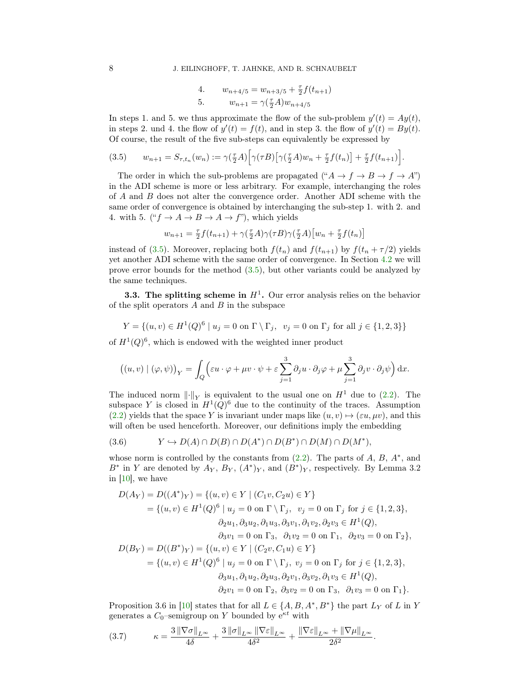4. 
$$
w_{n+4/5} = w_{n+3/5} + \frac{\tau}{2} f(t_{n+1})
$$
  
5. 
$$
w_{n+1} = \gamma(\frac{\tau}{2}A)w_{n+4/5}
$$

In steps 1. and 5. we thus approximate the flow of the sub-problem  $y'(t) = Ay(t)$ , in steps 2. und 4. the flow of  $y'(t) = f(t)$ , and in step 3. the flow of  $y'(t) = By(t)$ . Of course, the result of the five sub-steps can equivalently be expressed by

<span id="page-7-0"></span>
$$
(3.5) \qquad w_{n+1} = S_{\tau,t_n}(w_n) := \gamma(\tfrac{\tau}{2}A) \Big[ \gamma(\tau B) \big[ \gamma(\tfrac{\tau}{2}A)w_n + \tfrac{\tau}{2}f(t_n) \big] + \tfrac{\tau}{2}f(t_{n+1}) \Big].
$$

The order in which the sub-problems are propagated (" $A \rightarrow f \rightarrow B \rightarrow f \rightarrow A$ ") in the ADI scheme is more or less arbitrary. For example, interchanging the roles of A and B does not alter the convergence order. Another ADI scheme with the same order of convergence is obtained by interchanging the sub-step 1. with 2. and 4. with 5. (" $f \rightarrow A \rightarrow B \rightarrow A \rightarrow f$ "), which yields

$$
w_{n+1} = \frac{\tau}{2} f(t_{n+1}) + \gamma(\frac{\tau}{2}A)\gamma(\tau B)\gamma(\frac{\tau}{2}A) \left[w_n + \frac{\tau}{2}f(t_n)\right]
$$

instead of [\(3.5\)](#page-7-0). Moreover, replacing both  $f(t_n)$  and  $f(t_{n+1})$  by  $f(t_n + \tau/2)$  yields yet another ADI scheme with the same order of convergence. In Section [4.2](#page-11-1) we will prove error bounds for the method [\(3.5\)](#page-7-0), but other variants could be analyzed by the same techniques.

**3.3.** The splitting scheme in  $H^1$ . Our error analysis relies on the behavior of the split operators  $A$  and  $B$  in the subspace

$$
Y = \{(u, v) \in H^{1}(Q)^{6} \mid u_{j} = 0 \text{ on } \Gamma \setminus \Gamma_{j}, \ v_{j} = 0 \text{ on } \Gamma_{j} \text{ for all } j \in \{1, 2, 3\}\}\
$$

of  $H^1(Q)^6$ , which is endowed with the weighted inner product

$$
((u, v) | (\varphi, \psi))_Y = \int_Q \left( \varepsilon u \cdot \varphi + \mu v \cdot \psi + \varepsilon \sum_{j=1}^3 \partial_j u \cdot \partial_j \varphi + \mu \sum_{j=1}^3 \partial_j v \cdot \partial_j \psi \right) dx.
$$

The induced norm  $\|\cdot\|_Y$  is equivalent to the usual one on  $H^1$  due to [\(2.2\)](#page-2-0). The subspace Y is closed in  $H^1(Q)^6$  due to the continuity of the traces. Assumption [\(2.2\)](#page-2-0) yields that the space Y is invariant under maps like  $(u, v) \mapsto (\varepsilon u, \mu v)$ , and this will often be used henceforth. Moreover, our definitions imply the embedding

<span id="page-7-2"></span>
$$
(3.6) \t Y \hookrightarrow D(A) \cap D(B) \cap D(A^*) \cap D(B^*) \cap D(M) \cap D(M^*),
$$

whose norm is controlled by the constants from  $(2.2)$ . The parts of  $A, B, A^*$ , and  $B^*$  in Y are denoted by  $A_Y$ ,  $B_Y$ ,  $(A^*)_Y$ , and  $(B^*)_Y$ , respectively. By Lemma 3.2 in [\[10\]](#page-18-1), we have

$$
D(A_Y) = D((A^*)_Y) = \{(u, v) \in Y \mid (C_1v, C_2u) \in Y\}
$$
  
\n
$$
= \{(u, v) \in H^1(Q)^6 \mid u_j = 0 \text{ on } \Gamma \setminus \Gamma_j, v_j = 0 \text{ on } \Gamma_j \text{ for } j \in \{1, 2, 3\},
$$
  
\n
$$
\partial_2 u_1, \partial_3 u_2, \partial_1 u_3, \partial_3 v_1, \partial_1 v_2, \partial_2 v_3 \in H^1(Q),
$$
  
\n
$$
\partial_3 v_1 = 0 \text{ on } \Gamma_3, \ \partial_1 v_2 = 0 \text{ on } \Gamma_1, \ \partial_2 v_3 = 0 \text{ on } \Gamma_2\},
$$
  
\n
$$
D(B_Y) = D((B^*)_Y) = \{(u, v) \in Y \mid (C_2v, C_1u) \in Y\}
$$
  
\n
$$
= \{(u, v) \in H^1(Q)^6 \mid u_j = 0 \text{ on } \Gamma \setminus \Gamma_j, v_j = 0 \text{ on } \Gamma_j \text{ for } j \in \{1, 2, 3\},
$$
  
\n
$$
\partial_3 u_1, \partial_1 u_2, \partial_2 u_3, \partial_2 v_1, \partial_3 v_2, \partial_1 v_3 \in H^1(Q),
$$
  
\n
$$
\partial_2 v_1 = 0 \text{ on } \Gamma_2, \ \partial_3 v_2 = 0 \text{ on } \Gamma_3, \ \partial_1 v_3 = 0 \text{ on } \Gamma_1\}.
$$

Proposition 3.6 in [\[10\]](#page-18-1) states that for all  $L \in \{A, B, A^*, B^*\}$  the part  $L_Y$  of L in Y generates a  $C_0$ -semigroup on Y bounded by  $e^{\kappa t}$  with

<span id="page-7-1"></span>
$$
(3.7) \qquad \kappa = \frac{3\left\|\nabla\sigma\right\|_{L^{\infty}}}{4\delta} + \frac{3\left\|\sigma\right\|_{L^{\infty}}\left\|\nabla\varepsilon\right\|_{L^{\infty}}}{4\delta^2} + \frac{\left\|\nabla\varepsilon\right\|_{L^{\infty}} + \left\|\nabla\mu\right\|_{L^{\infty}}}{2\delta^2}.
$$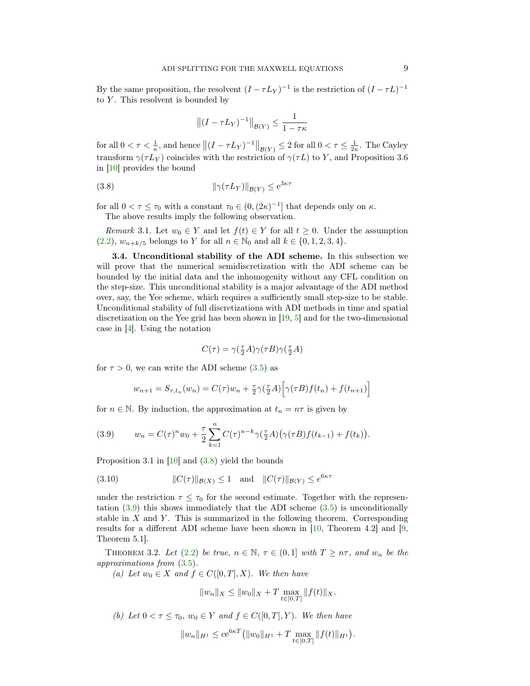By the same proposition, the resolvent  $(I - \tau L_Y)^{-1}$  is the restriction of  $(I - \tau L)^{-1}$ to  $Y$ . This resolvent is bounded by

$$
\left\| (I - \tau L_Y)^{-1} \right\|_{\mathcal{B}(Y)} \le \frac{1}{1 - \tau \kappa}
$$

for all  $0 < \tau < \frac{1}{\kappa}$ , and hence  $||(I - \tau L_Y)^{-1}||_{\mathcal{B}(Y)} \le 2$  for all  $0 < \tau \le \frac{1}{2\kappa}$ . The Cayley transform  $\gamma(\tau L_Y)$  coincides with the restriction of  $\gamma(\tau L)$  to Y, and Proposition 3.6 in [\[10\]](#page-18-1) provides the bound

<span id="page-8-1"></span>
$$
(3.8) \t\t\t\t\t \|\gamma(\tau L_Y)\|_{\mathcal{B}(Y)} \le e^{3\kappa \tau}
$$

for all  $0 < \tau \leq \tau_0$  with a constant  $\tau_0 \in (0, (2\kappa)^{-1}]$  that depends only on  $\kappa$ . The above results imply the following observation.

<span id="page-8-3"></span>Remark 3.1. Let  $w_0 \in Y$  and let  $f(t) \in Y$  for all  $t \geq 0$ . Under the assumption  $(2.2), w_{n+k/5}$  $(2.2), w_{n+k/5}$  belongs to Y for all  $n \in \mathbb{N}_0$  and all  $k \in \{0, 1, 2, 3, 4\}.$ 

3.4. Unconditional stability of the ADI scheme. In this subsection we will prove that the numerical semidiscretization with the ADI scheme can be bounded by the initial data and the inhomogenity without any CFL condition on the step-size. This unconditional stability is a major advantage of the ADI method over, say, the Yee scheme, which requires a sufficiently small step-size to be stable. Unconditional stability of full discretizations with ADI methods in time and spatial discretization on the Yee grid has been shown in [\[19,](#page-18-10) [5\]](#page-18-6) and for the two-dimensional case in [\[4\]](#page-18-5). Using the notation

$$
C(\tau)=\gamma(\tfrac{\tau}{2}A)\gamma(\tau B)\gamma(\tfrac{\tau}{2}A)
$$

for  $\tau > 0$ , we can write the ADI scheme [\(3.5\)](#page-7-0) as

$$
w_{n+1} = S_{\tau,t_n}(w_n) = C(\tau)w_n + \frac{\tau}{2}\gamma(\frac{\tau}{2}A)\Big[\gamma(\tau B)f(t_n) + f(t_{n+1})\Big]
$$

for  $n \in \mathbb{N}$ . By induction, the approximation at  $t_n = n\tau$  is given by

<span id="page-8-2"></span>(3.9) 
$$
w_n = C(\tau)^n w_0 + \frac{\tau}{2} \sum_{k=1}^n C(\tau)^{n-k} \gamma(\frac{\tau}{2}A) (\gamma(\tau B) f(t_{k-1}) + f(t_k)).
$$

Proposition 3.1 in [\[10\]](#page-18-1) and [\(3.8\)](#page-8-1) yield the bounds

<span id="page-8-4"></span>(3.10) 
$$
||C(\tau)||_{\mathcal{B}(X)} \le 1 \quad \text{and} \quad ||C(\tau)||_{\mathcal{B}(Y)} \le e^{6\kappa \tau}
$$

under the restriction  $\tau \leq \tau_0$  for the second estimate. Together with the representation  $(3.9)$  this shows immediately that the ADI scheme  $(3.5)$  is unconditionally stable in  $X$  and  $Y$ . This is summarized in the following theorem. Corresponding results for a different ADI scheme have been shown in [\[10,](#page-18-1) Theorem 4.2] and [\[9,](#page-18-2) Theorem 5.1].

<span id="page-8-0"></span>THEOREM 3.2. Let [\(2.2\)](#page-2-0) be true,  $n \in \mathbb{N}$ ,  $\tau \in (0,1]$  with  $T \geq n\tau$ , and  $w_n$  be the approximations from [\(3.5\)](#page-7-0).

(a) Let  $w_0 \in X$  and  $f \in C([0, T], X)$ . We then have

$$
||w_n||_X \le ||w_0||_X + T \max_{t \in [0,T]} ||f(t)||_X.
$$

(b) Let  $0 < \tau < \tau_0$ ,  $w_0 \in Y$  and  $f \in C([0,T], Y)$ . We then have

$$
||w_n||_{H^1} \le c e^{6\kappa T} (||w_0||_{H^1} + T \max_{t \in [0,T]} ||f(t)||_{H^1}).
$$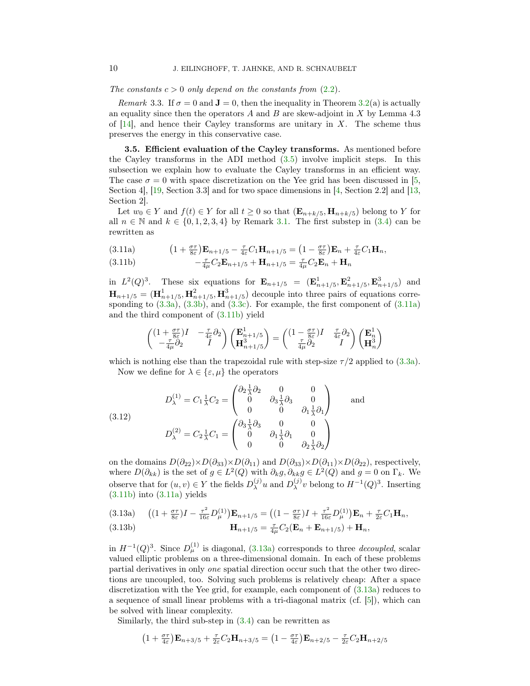The constants  $c > 0$  only depend on the constants from  $(2.2)$ .

Remark 3.3. If  $\sigma = 0$  and  $\mathbf{J} = 0$ , then the inequality in Theorem [3.2\(](#page-8-0)a) is actually an equality since then the operators  $A$  and  $B$  are skew-adjoint in  $X$  by Lemma 4.3 of  $[14]$ , and hence their Cayley transforms are unitary in X. The scheme thus preserves the energy in this conservative case.

<span id="page-9-0"></span>3.5. Efficient evaluation of the Cayley transforms. As mentioned before the Cayley transforms in the ADI method [\(3.5\)](#page-7-0) involve implicit steps. In this subsection we explain how to evaluate the Cayley transforms in an efficient way. The case  $\sigma = 0$  with space discretization on the Yee grid has been discussed in [\[5,](#page-18-6) Section 4], [\[19,](#page-18-10) Section 3.3] and for two space dimensions in [\[4,](#page-18-5) Section 2.2] and [\[13,](#page-18-8) Section 2].

Let  $w_0 \in Y$  and  $f(t) \in Y$  for all  $t \geq 0$  so that  $(\mathbf{E}_{n+k/5}, \mathbf{H}_{n+k/5})$  belong to Y for all  $n \in \mathbb{N}$  and  $k \in \{0, 1, 2, 3, 4\}$  by Remark [3.1.](#page-8-3) The first substep in [\(3.4\)](#page-6-0) can be rewritten as

<span id="page-9-1"></span>(3.11a) 
$$
(1 + \frac{\sigma \tau}{8\varepsilon})\mathbf{E}_{n+1/5} - \frac{\tau}{4\varepsilon}C_1\mathbf{H}_{n+1/5} = (1 - \frac{\sigma \tau}{8\varepsilon})\mathbf{E}_n + \frac{\tau}{4\varepsilon}C_1\mathbf{H}_n,
$$
  
(3.11b) 
$$
(\frac{\tau}{8})\mathbf{E}_n - \frac{\tau}{4\varepsilon}C_1\mathbf{F}_n + \mathbf{H}_n = \frac{\tau}{8\varepsilon}C_1\mathbf{F}_n + \mathbf{H}_n
$$

<span id="page-9-2"></span>(3.11b) 
$$
-\frac{\tau}{4\mu}C_2\mathbf{E}_{n+1/5} + \mathbf{H}_{n+1/5} = \frac{\tau}{4\mu}C_2\mathbf{E}_n + \mathbf{H}_n
$$

in  $L^2(Q)^3$ . These six equations for  $\mathbf{E}_{n+1/5} = (\mathbf{E}_{n+1/5}^1, \mathbf{E}_{n+1/5}^2, \mathbf{E}_{n+1/5}^3)$  and  $\mathbf{H}_{n+1/5} = (\mathbf{H}_{n+1/5}^1, \mathbf{H}_{n+1/5}^3, \mathbf{H}_{n+1/5}^3)$  decouple into three pairs of equations corresponding to  $(3.3a)$ ,  $(3.3b)$ , and  $(3.3c)$ . For example, the first component of  $(3.11a)$ and the third component of [\(3.11b\)](#page-9-2) yield

$$
\begin{pmatrix}\n(1 + \frac{\sigma \tau}{8\varepsilon})I & -\frac{\tau}{4\varepsilon}\partial_2 \\
-\frac{\tau}{4\mu}\partial_2 & I\n\end{pmatrix}\n\begin{pmatrix}\n\mathbf{E}^1_{n+1/5} \\
\mathbf{H}^3_{n+1/5}\n\end{pmatrix} = \begin{pmatrix}\n(1 - \frac{\sigma \tau}{8\varepsilon})I & \frac{\tau}{4\varepsilon}\partial_2 \\
\frac{\tau}{4\mu}\partial_2 & I\n\end{pmatrix}\n\begin{pmatrix}\n\mathbf{E}^1_n \\
\mathbf{H}^3_n\n\end{pmatrix}
$$

which is nothing else than the trapezoidal rule with step-size  $\tau/2$  applied to [\(3.3a\)](#page-5-1).

Now we define for  $\lambda \in {\epsilon, \mu}$  the operators

(3.12)  
\n
$$
D_{\lambda}^{(1)} = C_1 \frac{1}{\lambda} C_2 = \begin{pmatrix} \partial_2 \frac{1}{\lambda} \partial_2 & 0 & 0 \\ 0 & \partial_3 \frac{1}{\lambda} \partial_3 & 0 \\ 0 & 0 & \partial_1 \frac{1}{\lambda} \partial_1 \end{pmatrix} \text{ and}
$$
\n
$$
D_{\lambda}^{(2)} = C_2 \frac{1}{\lambda} C_1 = \begin{pmatrix} \partial_3 \frac{1}{\lambda} \partial_3 & 0 & 0 \\ 0 & \partial_1 \frac{1}{\lambda} \partial_1 & 0 \\ 0 & 0 & \partial_2 \frac{1}{\lambda} \partial_2 \end{pmatrix}
$$

on the domains  $D(\partial_{22})\times D(\partial_{33})\times D(\partial_{11})$  and  $D(\partial_{33})\times D(\partial_{11})\times D(\partial_{22})$ , respectively, where  $D(\partial_{kk})$  is the set of  $g \in L^2(Q)$  with  $\partial_k g, \partial_{kk} g \in L^2(Q)$  and  $g = 0$  on  $\Gamma_k$ . We observe that for  $(u, v) \in Y$  the fields  $D_{\lambda}^{(j)}$  $_{\lambda}^{(j)}u$  and  $D_{\lambda}^{(j)}$  $\lambda^{(j)}v$  belong to  $H^{-1}(Q)^3$ . Inserting  $(3.11b)$  into  $(3.11a)$  yields

<span id="page-9-3"></span>
$$
(3.13a) \quad ((1+\tfrac{\sigma\tau}{8\varepsilon})I - \tfrac{\tau^2}{16\varepsilon}D_{\mu}^{(1)})\mathbf{E}_{n+1/5} = ((1-\tfrac{\sigma\tau}{8\varepsilon})I + \tfrac{\tau^2}{16\varepsilon}D_{\mu}^{(1)})\mathbf{E}_n + \tfrac{\tau}{2\varepsilon}C_1\mathbf{H}_n,
$$

(3.13b) 
$$
\mathbf{H}_{n+1/5} = \frac{\tau}{4\mu} C_2 (\mathbf{E}_n + \mathbf{E}_{n+1/5}) + \mathbf{H}_n,
$$

in  $H^{-1}(Q)^3$ . Since  $D_{\mu}^{(1)}$  is diagonal, [\(3.13a\)](#page-9-3) corresponds to three *decoupled*, scalar valued elliptic problems on a three-dimensional domain. In each of these problems partial derivatives in only one spatial direction occur such that the other two directions are uncoupled, too. Solving such problems is relatively cheap: After a space discretization with the Yee grid, for example, each component of [\(3.13a\)](#page-9-3) reduces to a sequence of small linear problems with a tri-diagonal matrix (cf. [\[5\]](#page-18-6)), which can be solved with linear complexity.

Similarly, the third sub-step in [\(3.4\)](#page-6-0) can be rewritten as

$$
(1+\tfrac{\sigma\tau}{4\varepsilon})\mathbf{E}_{n+3/5} + \tfrac{\tau}{2\varepsilon}C_2\mathbf{H}_{n+3/5} = (1-\tfrac{\sigma\tau}{4\varepsilon})\mathbf{E}_{n+2/5} - \tfrac{\tau}{2\varepsilon}C_2\mathbf{H}_{n+2/5}
$$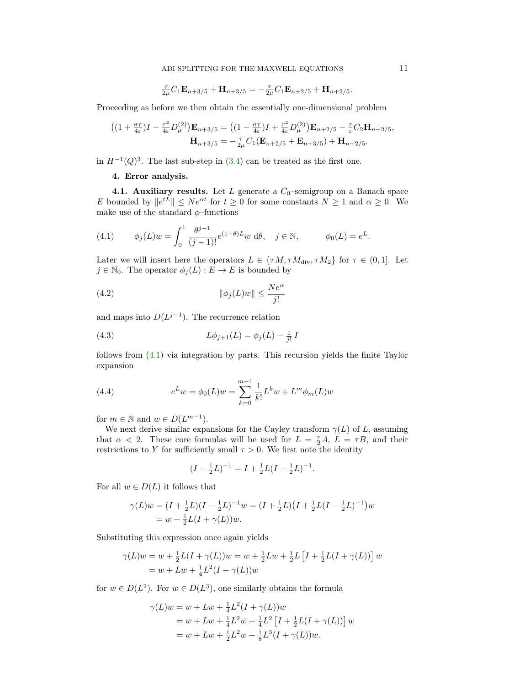$$
\frac{\tau}{2\mu}C_1\mathbf{E}_{n+3/5} + \mathbf{H}_{n+3/5} = -\frac{\tau}{2\mu}C_1\mathbf{E}_{n+2/5} + \mathbf{H}_{n+2/5}.
$$

Proceeding as before we then obtain the essentially one-dimensional problem

$$
((1 + \frac{\sigma\tau}{4\varepsilon})I - \frac{\tau^2}{4\varepsilon}D_{\mu}^{(2)})\mathbf{E}_{n+3/5} = ((1 - \frac{\sigma\tau}{4\varepsilon})I + \frac{\tau^2}{4\varepsilon}D_{\mu}^{(2)})\mathbf{E}_{n+2/5} - \frac{\tau}{\varepsilon}C_2\mathbf{H}_{n+2/5},
$$

$$
\mathbf{H}_{n+3/5} = -\frac{\tau}{2\mu}C_1(\mathbf{E}_{n+2/5} + \mathbf{E}_{n+3/5}) + \mathbf{H}_{n+2/5}.
$$

in  $H^{-1}(Q)^3$ . The last sub-step in [\(3.4\)](#page-6-0) can be treated as the first one.

## 4. Error analysis.

4.1. Auxiliary results. Let  $L$  generate a  $C_0$ -semigroup on a Banach space E bounded by  $||e^{tL}|| \leq Ne^{\alpha t}$  for  $t \geq 0$  for some constants  $N \geq 1$  and  $\alpha \geq 0$ . We make use of the standard  $\phi$ –functions

<span id="page-10-0"></span>(4.1) 
$$
\phi_j(L)w = \int_0^1 \frac{\theta^{j-1}}{(j-1)!} e^{(1-\theta)L} w \, d\theta, \quad j \in \mathbb{N}, \qquad \phi_0(L) = e^L.
$$

Later we will insert here the operators  $L \in \{\tau M, \tau M_{\text{div}}, \tau M_2\}$  for  $\tau \in (0, 1]$ . Let  $j \in \mathbb{N}_0$ . The operator  $\phi_j(L) : E \to E$  is bounded by

<span id="page-10-2"></span>(4.2) 
$$
\|\phi_j(L)w\| \le \frac{Ne^{\alpha}}{j!}
$$

and maps into  $D(L^{j-1})$ . The recurrence relation

<span id="page-10-3"></span>(4.3) 
$$
L\phi_{j+1}(L) = \phi_j(L) - \frac{1}{j!}I
$$

follows from [\(4.1\)](#page-10-0) via integration by parts. This recursion yields the finite Taylor expansion

<span id="page-10-1"></span>(4.4) 
$$
e^{L}w = \phi_0(L)w = \sum_{k=0}^{m-1} \frac{1}{k!} L^k w + L^m \phi_m(L)w
$$

for  $m \in \mathbb{N}$  and  $w \in D(L^{m-1})$ .

We next derive similar expansions for the Cayley transform  $\gamma(L)$  of L, assuming that  $\alpha < 2$ . These core formulas will be used for  $L = \frac{\tau}{2}A$ ,  $L = \tau B$ , and their restrictions to Y for sufficiently small  $\tau > 0$ . We first note the identity

$$
(I - \frac{1}{2}L)^{-1} = I + \frac{1}{2}L(I - \frac{1}{2}L)^{-1}.
$$

For all  $w \in D(L)$  it follows that

$$
\gamma(L)w = (I + \frac{1}{2}L)(I - \frac{1}{2}L)^{-1}w = (I + \frac{1}{2}L)(I + \frac{1}{2}L(I - \frac{1}{2}L)^{-1})w
$$
  
=  $w + \frac{1}{2}L(I + \gamma(L))w$ .

Substituting this expression once again yields

$$
\gamma(L)w = w + \frac{1}{2}L(I + \gamma(L))w = w + \frac{1}{2}Lw + \frac{1}{2}L[I + \frac{1}{2}L(I + \gamma(L))]w
$$
  
= w + Lw + \frac{1}{4}L^2(I + \gamma(L))w

for  $w \in D(L^2)$ . For  $w \in D(L^3)$ , one similarly obtains the formula

$$
\gamma(L)w = w + Lw + \frac{1}{4}L^2(I + \gamma(L))w
$$
  
= w + Lw + \frac{1}{4}L^2w + \frac{1}{4}L^2[I + \frac{1}{2}L(I + \gamma(L))]w  
= w + Lw + \frac{1}{2}L^2w + \frac{1}{8}L^3(I + \gamma(L))w.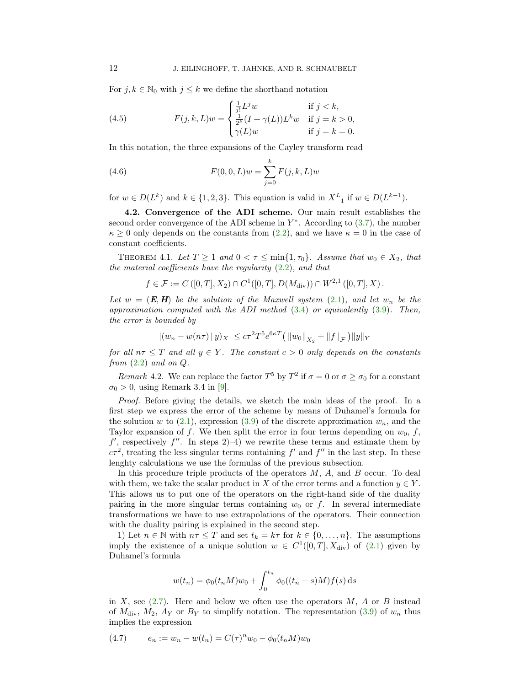For  $j, k \in \mathbb{N}_0$  with  $j \leq k$  we define the shorthand notation

<span id="page-11-4"></span>(4.5) 
$$
F(j,k,L)w = \begin{cases} \frac{1}{j!}L^j w & \text{if } j < k, \\ \frac{1}{2^k}(I + \gamma(L))L^k w & \text{if } j = k > 0, \\ \gamma(L)w & \text{if } j = k = 0. \end{cases}
$$

In this notation, the three expansions of the Cayley transform read

<span id="page-11-3"></span>(4.6) 
$$
F(0,0,L)w = \sum_{j=0}^{k} F(j,k,L)w
$$

for  $w \in D(L^k)$  and  $k \in \{1, 2, 3\}$ . This equation is valid in  $X_{-1}^L$  if  $w \in D(L^{k-1})$ .

<span id="page-11-1"></span>4.2. Convergence of the ADI scheme. Our main result establishes the second order convergence of the ADI scheme in  $Y^*$ . According to  $(3.7)$ , the number  $\kappa \geq 0$  only depends on the constants from [\(2.2\)](#page-2-0), and we have  $\kappa = 0$  in the case of constant coefficients.

<span id="page-11-0"></span>THEOREM 4.1. Let  $T \geq 1$  and  $0 < \tau \leq \min\{1, \tau_0\}$ . Assume that  $w_0 \in X_2$ , that the material coefficients have the regularity  $(2.2)$ , and that

$$
f \in \mathcal{F} := C([0, T], X_2) \cap C^1([0, T], D(M_{\text{div}})) \cap W^{2,1}([0, T], X) .
$$

Let  $w = (E, H)$  be the solution of the Maxwell system [\(2.1\)](#page-1-0), and let  $w_n$  be the approximation computed with the ADI method  $(3.4)$  or equivalently  $(3.9)$ . Then, the error is bounded by

$$
|(w_n - w(n\tau) \,|\, y)_X| \le c\tau^2 T^5 e^{6\kappa T} \left( \|w_0\|_{X_2} + \|f\|_{\mathcal{F}} \right) \|y\|_Y
$$

for all  $n\tau \leq T$  and all  $y \in Y$ . The constant  $c > 0$  only depends on the constants from  $(2.2)$  and on  $Q$ .

Remark 4.2. We can replace the factor  $T^5$  by  $T^2$  if  $\sigma = 0$  or  $\sigma \ge \sigma_0$  for a constant  $\sigma_0 > 0$ , using Remark 3.4 in [\[9\]](#page-18-2).

Proof. Before giving the details, we sketch the main ideas of the proof. In a first step we express the error of the scheme by means of Duhamel's formula for the solution w to  $(2.1)$ , expression  $(3.9)$  of the discrete approximation  $w_n$ , and the Taylor expansion of f. We then split the error in four terms depending on  $w_0$ , f,  $f'$ , respectively  $f''$ . In steps 2–4) we rewrite these terms and estimate them by  $c\tau^2$ , treating the less singular terms containing  $f'$  and  $f''$  in the last step. In these lenghty calculations we use the formulas of the previous subsection.

In this procedure triple products of the operators  $M$ ,  $A$ , and  $B$  occur. To deal with them, we take the scalar product in X of the error terms and a function  $y \in Y$ . This allows us to put one of the operators on the right-hand side of the duality pairing in the more singular terms containing  $w_0$  or f. In several intermediate transformations we have to use extrapolations of the operators. Their connection with the duality pairing is explained in the second step.

1) Let  $n \in \mathbb{N}$  with  $n\tau \leq T$  and set  $t_k = k\tau$  for  $k \in \{0, \ldots, n\}$ . The assumptions imply the existence of a unique solution  $w \in C^1([0,T], X_{\text{div}})$  of  $(2.1)$  given by Duhamel's formula

$$
w(t_n) = \phi_0(t_n M)w_0 + \int_0^{t_n} \phi_0((t_n - s)M) f(s) ds
$$

in X, see  $(2.7)$ . Here and below we often use the operators M, A or B instead of  $M_{\text{div}}$ ,  $M_2$ ,  $A_Y$  or  $B_Y$  to simplify notation. The representation [\(3.9\)](#page-8-2) of  $w_n$  thus implies the expression

<span id="page-11-2"></span>(4.7) 
$$
e_n := w_n - w(t_n) = C(\tau)^n w_0 - \phi_0(t_n M) w_0
$$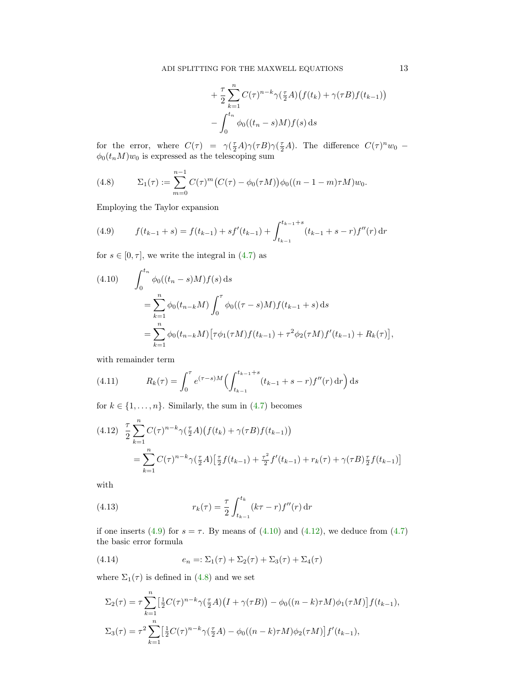$$
+\frac{\tau}{2} \sum_{k=1}^{n} C(\tau)^{n-k} \gamma(\frac{\tau}{2}A) \big(f(t_k) + \gamma(\tau B)f(t_{k-1})\big)
$$

$$
-\int_{0}^{t_n} \phi_0((t_n - s)M)f(s) ds
$$

for the error, where  $C(\tau) = \gamma(\frac{\tau}{2}A)\gamma(\tau B)\gamma(\frac{\tau}{2}A)$ . The difference  $C(\tau)^n w_0$  –  $\phi_0(t_nM)w_0$  is expressed as the telescoping sum

<span id="page-12-3"></span>(4.8) 
$$
\Sigma_1(\tau) := \sum_{m=0}^{n-1} C(\tau)^m (C(\tau) - \phi_0(\tau M)) \phi_0((n-1-m)\tau M) w_0.
$$

Employing the Taylor expansion

<span id="page-12-0"></span>(4.9) 
$$
f(t_{k-1} + s) = f(t_{k-1}) + sf'(t_{k-1}) + \int_{t_{k-1}}^{t_{k-1}+s} (t_{k-1} + s - r) f''(r) dr
$$

for  $s \in [0, \tau]$ , we write the integral in  $(4.7)$  as

<span id="page-12-1"></span>(4.10) 
$$
\int_0^{t_n} \phi_0((t_n - s)M) f(s) ds
$$
  
\n
$$
= \sum_{k=1}^n \phi_0(t_{n-k}M) \int_0^{\tau} \phi_0((\tau - s)M) f(t_{k-1} + s) ds
$$
  
\n
$$
= \sum_{k=1}^n \phi_0(t_{n-k}M) [\tau \phi_1(\tau M) f(t_{k-1}) + \tau^2 \phi_2(\tau M) f'(t_{k-1}) + R_k(\tau)],
$$

with remainder term

<span id="page-12-6"></span>(4.11) 
$$
R_k(\tau) = \int_0^{\tau} e^{(\tau - s)M} \left( \int_{t_{k-1}}^{t_{k-1}+s} (t_{k-1} + s - r) f''(r) dr \right) ds
$$

for  $k \in \{1, \ldots, n\}$ . Similarly, the sum in [\(4.7\)](#page-11-2) becomes

<span id="page-12-2"></span>
$$
(4.12) \frac{\tau}{2} \sum_{k=1}^{n} C(\tau)^{n-k} \gamma(\frac{\tau}{2}A) \left( f(t_k) + \gamma(\tau B) f(t_{k-1}) \right)
$$
  
= 
$$
\sum_{k=1}^{n} C(\tau)^{n-k} \gamma(\frac{\tau}{2}A) \left[ \frac{\tau}{2} f(t_{k-1}) + \frac{\tau^2}{2} f'(t_{k-1}) + r_k(\tau) + \gamma(\tau B) \frac{\tau}{2} f(t_{k-1}) \right]
$$

with

<span id="page-12-5"></span>(4.13) 
$$
r_k(\tau) = \frac{\tau}{2} \int_{t_{k-1}}^{t_k} (k\tau - r) f''(r) dr
$$

if one inserts [\(4.9\)](#page-12-0) for  $s = \tau$ . By means of [\(4.10\)](#page-12-1) and [\(4.12\)](#page-12-2), we deduce from [\(4.7\)](#page-11-2) the basic error formula

<span id="page-12-4"></span>(4.14) 
$$
e_n = \Sigma_1(\tau) + \Sigma_2(\tau) + \Sigma_3(\tau) + \Sigma_4(\tau)
$$

where  $\Sigma_1(\tau)$  is defined in [\(4.8\)](#page-12-3) and we set

$$
\Sigma_2(\tau) = \tau \sum_{k=1}^n \left[ \frac{1}{2} C(\tau)^{n-k} \gamma(\frac{\tau}{2} A) (I + \gamma(\tau B)) - \phi_0((n-k)\tau M) \phi_1(\tau M) \right] f(t_{k-1}),
$$
  

$$
\Sigma_3(\tau) = \tau^2 \sum_{k=1}^n \left[ \frac{1}{2} C(\tau)^{n-k} \gamma(\frac{\tau}{2} A) - \phi_0((n-k)\tau M) \phi_2(\tau M) \right] f'(t_{k-1}),
$$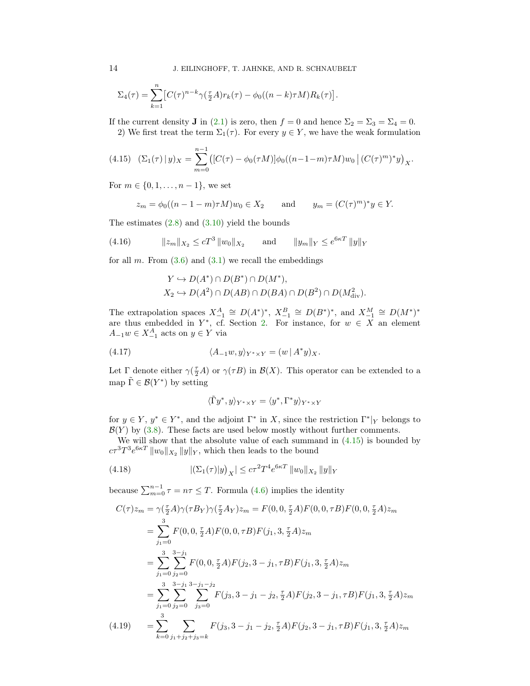$$
\Sigma_4(\tau) = \sum_{k=1}^n \left[ C(\tau)^{n-k} \gamma(\tfrac{\tau}{2}A) r_k(\tau) - \phi_0((n-k)\tau M) R_k(\tau) \right].
$$

If the current density **J** in [\(2.1\)](#page-1-0) is zero, then  $f = 0$  and hence  $\Sigma_2 = \Sigma_3 = \Sigma_4 = 0$ .

2) We first treat the term  $\Sigma_1(\tau)$ . For every  $y \in Y$ , we have the weak formulation

<span id="page-13-0"></span>
$$
(4.15)\quad (\Sigma_1(\tau) \mid y)_X = \sum_{m=0}^{n-1} \left( [C(\tau) - \phi_0(\tau M)] \phi_0((n-1-m)\tau M) w_0 \mid (C(\tau)^m)^* y \right)_X.
$$

For  $m \in \{0, 1, \ldots, n-1\}$ , we set

$$
z_m = \phi_0((n-1-m)\tau M)w_0 \in X_2
$$
 and  $y_m = (C(\tau)^m)^* y \in Y$ .

The estimates  $(2.8)$  and  $(3.10)$  yield the bounds

(4.16) 
$$
||z_m||_{X_2} \le cT^3 ||w_0||_{X_2} \quad \text{and} \quad ||y_m||_Y \le e^{6\kappa T} ||y||_Y
$$

for all m. From  $(3.6)$  and  $(3.1)$  we recall the embeddings

<span id="page-13-1"></span>
$$
Y \hookrightarrow D(A^*) \cap D(B^*) \cap D(M^*),
$$
  

$$
X_2 \hookrightarrow D(A^2) \cap D(AB) \cap D(BA) \cap D(B^2) \cap D(M_{\text{div}}^2).
$$

The extrapolation spaces  $X_{-1}^A \cong D(A^*)^*$ ,  $X_{-1}^B \cong D(B^*)^*$ , and  $X_{-1}^M \cong D(M^*)^*$ are thus embedded in  $Y^*$ , cf. Section [2.](#page-1-1) For instance, for  $w \in X$  an element  $A_{-1}w \in X_{-1}^A$  acts on  $y \in Y$  via

<span id="page-13-2"></span>(4.17) 
$$
\langle A_{-1}w, y \rangle_{Y^* \times Y} = (w \mid A^*y)_X.
$$

Let  $\Gamma$  denote either  $\gamma(\frac{\tau}{2}A)$  or  $\gamma(\tau B)$  in  $\mathcal{B}(X)$ . This operator can be extended to a map  $\tilde{\Gamma} \in \mathcal{B}(Y^*)$  by setting

<span id="page-13-3"></span>
$$
\langle \tilde{\Gamma} y^*,y\rangle_{Y^* \times Y} = \langle y^*,\Gamma^*y\rangle_{Y^* \times Y}
$$

for  $y \in Y$ ,  $y^* \in Y^*$ , and the adjoint  $\Gamma^*$  in X, since the restriction  $\Gamma^*|_Y$  belongs to  $\mathcal{B}(Y)$  by [\(3.8\)](#page-8-1). These facts are used below mostly without further comments.

We will show that the absolute value of each summand in  $(4.15)$  is bounded by  $c\tau^3T^3e^{6\kappa T}$   $||w_0||_{X_2}$   $||y||_Y$ , which then leads to the bound

(4.18) 
$$
|(\Sigma_1(\tau)|y)_X| \le c\tau^2 T^4 e^{6\kappa T} ||w_0||_{X_2} ||y||_Y
$$

because  $\sum_{m=0}^{n-1} \tau = n\tau \leq T$ . Formula [\(4.6\)](#page-11-3) implies the identity

<span id="page-13-4"></span>
$$
C(\tau)z_m = \gamma(\frac{\tau}{2}A)\gamma(\tau B_Y)\gamma(\frac{\tau}{2}A_Y)z_m = F(0, 0, \frac{\tau}{2}A)F(0, 0, \tau B)F(0, 0, \frac{\tau}{2}A)z_m
$$
  
\n
$$
= \sum_{j_1=0}^3 F(0, 0, \frac{\tau}{2}A)F(0, 0, \tau B)F(j_1, 3, \frac{\tau}{2}A)z_m
$$
  
\n
$$
= \sum_{j_1=0}^3 \sum_{j_2=0}^{3-1} F(0, 0, \frac{\tau}{2}A)F(j_2, 3 - j_1, \tau B)F(j_1, 3, \frac{\tau}{2}A)z_m
$$
  
\n
$$
= \sum_{j_1=0}^3 \sum_{j_2=0}^{3-1} \sum_{j_3=0}^{3-j_1} F(j_3, 3 - j_1 - j_2, \frac{\tau}{2}A)F(j_2, 3 - j_1, \tau B)F(j_1, 3, \frac{\tau}{2}A)z_m
$$
  
\n(4.19) 
$$
= \sum_{k=0}^3 \sum_{j_1+j_2+j_3=k} F(j_3, 3 - j_1 - j_2, \frac{\tau}{2}A)F(j_2, 3 - j_1, \tau B)F(j_1, 3, \frac{\tau}{2}A)z_m
$$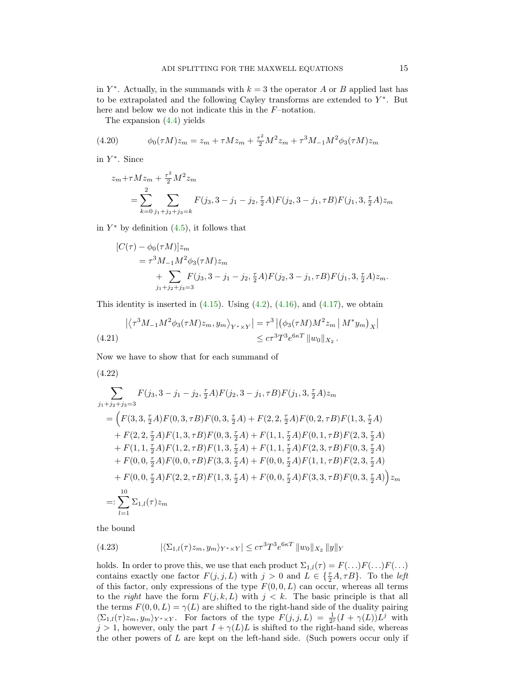in  $Y^*$ . Actually, in the summands with  $k = 3$  the operator A or B applied last has to be extrapolated and the following Cayley transforms are extended to  $Y^*$ . But here and below we do not indicate this in the  $F$ –notation.

The expansion [\(4.4\)](#page-10-1) yields

(4.20) 
$$
\phi_0(\tau M)z_m = z_m + \tau M z_m + \frac{\tau^2}{2} M^2 z_m + \tau^3 M_{-1} M^2 \phi_3(\tau M) z_m
$$

in Y ∗ . Since

$$
z_m + \tau M z_m + \frac{\tau^2}{2} M^2 z_m
$$
  
= 
$$
\sum_{k=0}^2 \sum_{j_1+j_2+j_3=k} F(j_3, 3-j_1-j_2, \frac{\tau}{2} A) F(j_2, 3-j_1, \tau B) F(j_1, 3, \frac{\tau}{2} A) z_m
$$

in  $Y^*$  by definition  $(4.5)$ , it follows that

$$
[C(\tau) - \phi_0(\tau M)]z_m
$$
  
=  $\tau^3 M_{-1} M^2 \phi_3(\tau M) z_m$   
+  $\sum_{j_1+j_2+j_3=3} F(j_3, 3-j_1-j_2, \frac{\tau}{2} A) F(j_2, 3-j_1, \tau B) F(j_1, 3, \frac{\tau}{2} A) z_m.$ 

This identity is inserted in  $(4.15)$ . Using  $(4.2)$ ,  $(4.16)$ , and  $(4.17)$ , we obtain

<span id="page-14-2"></span>
$$
\left| \langle \tau^3 M_{-1} M^2 \phi_3(\tau M) z_m, y_m \rangle_{Y^* \times Y} \right| = \tau^3 \left| \left( \phi_3(\tau M) M^2 z_m \left| M^* y_m \right|_X \right| \right|
$$
\n
$$
\leq c \tau^3 T^3 e^{6\kappa T} \left| w_0 \right|_{X_2}.
$$
\n(4.21)

Now we have to show that for each summand of

<span id="page-14-1"></span>(4.22)

$$
\sum_{j_1+j_2+j_3=3} F(j_3,3-j_1-j_2,\frac{\tau}{2}A)F(j_2,3-j_1,\tau B)F(j_1,3,\frac{\tau}{2}A)z_m
$$
\n
$$
= \Big( F(3,3,\frac{\tau}{2}A)F(0,3,\tau B)F(0,3,\frac{\tau}{2}A) + F(2,2,\frac{\tau}{2}A)F(0,2,\tau B)F(1,3,\frac{\tau}{2}A) + F(2,2,\frac{\tau}{2}A)F(1,3,\tau B)F(0,3,\frac{\tau}{2}A) + F(1,1,\frac{\tau}{2}A)F(0,1,\tau B)F(2,3,\frac{\tau}{2}A) + F(1,1,\frac{\tau}{2}A)F(1,2,\tau B)F(1,3,\frac{\tau}{2}A) + F(1,1,\frac{\tau}{2}A)F(2,3,\tau B)F(0,3,\frac{\tau}{2}A) + F(0,0,\frac{\tau}{2}A)F(0,0,\tau B)F(3,3,\frac{\tau}{2}A) + F(0,0,\frac{\tau}{2}A)F(1,1,\tau B)F(2,3,\frac{\tau}{2}A) + F(0,0,\frac{\tau}{2}A)F(2,2,\tau B)F(1,3,\frac{\tau}{2}A) + F(0,0,\frac{\tau}{2}A)F(3,3,\tau B)F(0,3,\frac{\tau}{2}A) \Big) z_m
$$
\n
$$
=:\sum_{l=1}^{10} \Sigma_{1,l}(\tau)z_m
$$

the bound

<span id="page-14-0"></span>(4.23) 
$$
|\langle \Sigma_{1,l}(\tau) z_m, y_m \rangle_{Y^* \times Y}| \le c\tau^3 T^3 e^{6\kappa T} ||w_0||_{X_2} ||y||_Y
$$

holds. In order to prove this, we use that each product  $\Sigma_{1,l}(\tau) = F(\ldots)F(\ldots)F(\ldots)$ contains exactly one factor  $F(j, j, L)$  with  $j > 0$  and  $L \in {\{\frac{\tau}{2}A, \tau B\}}$ . To the *left* of this factor, only expressions of the type  $F(0, 0, L)$  can occur, whereas all terms to the *right* have the form  $F(j, k, L)$  with  $j < k$ . The basic principle is that all the terms  $F(0, 0, L) = \gamma(L)$  are shifted to the right-hand side of the duality pairing  $\langle \Sigma_{1,l}(\tau) z_m, y_m \rangle_{Y^* \times Y}$ . For factors of the type  $F(j,j,L) = \frac{1}{2^j}(I + \gamma(L))L^j$  with  $j > 1$ , however, only the part  $I + \gamma(L)L$  is shifted to the right-hand side, whereas the other powers of  $L$  are kept on the left-hand side. (Such powers occur only if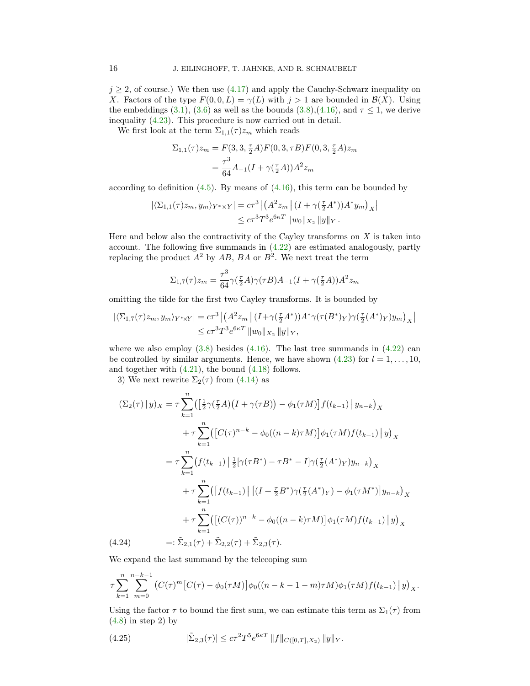$j \geq 2$ , of course.) We then use [\(4.17\)](#page-13-2) and apply the Cauchy-Schwarz inequality on X. Factors of the type  $F(0, 0, L) = \gamma(L)$  with  $j > 1$  are bounded in  $\mathcal{B}(X)$ . Using the embeddings [\(3.1\)](#page-5-2), [\(3.6\)](#page-7-2) as well as the bounds [\(3.8\)](#page-8-1),[\(4.16\)](#page-13-1), and  $\tau \leq 1$ , we derive inequality [\(4.23\)](#page-14-0). This procedure is now carried out in detail.

We first look at the term  $\Sigma_{1,1}(\tau)z_m$  which reads

$$
\Sigma_{1,1}(\tau)z_m = F(3,3,\frac{\tau}{2}A)F(0,3,\tau B)F(0,3,\frac{\tau}{2}A)z_m
$$

$$
= \frac{\tau^3}{64}A_{-1}(I + \gamma(\frac{\tau}{2}A))A^2 z_m
$$

according to definition  $(4.5)$ . By means of  $(4.16)$ , this term can be bounded by

$$
\begin{aligned} |\langle \Sigma_{1,1}(\tau) z_m, y_m \rangle_{Y^* \times Y}| &= c\tau^3 \left| \left( A^2 z_m \left| \left( I + \gamma \left( \frac{\tau}{2} A^* \right) \right) A^* y_m \right)_{X} \right| \right. \\ &\leq c\tau^3 T^3 e^{6\kappa T} \left\| w_0 \right\|_{X_2} \|y\|_{Y} \, . \end{aligned}
$$

Here and below also the contractivity of the Cayley transforms on  $X$  is taken into account. The following five summands in [\(4.22\)](#page-14-1) are estimated analogously, partly replacing the product  $A^2$  by  $AB$ ,  $BA$  or  $B^2$ . We next treat the term

$$
\Sigma_{1,7}(\tau)z_m = \frac{\tau^3}{64} \gamma(\frac{\tau}{2}A)\gamma(\tau B)A_{-1}(I + \gamma(\frac{\tau}{2}A))A^2 z_m
$$

omitting the tilde for the first two Cayley transforms. It is bounded by

$$
\begin{aligned} |\langle \Sigma_{1,7}(\tau) z_m, y_m \rangle_{Y^* \times Y}| &= c\tau^3 \left| \left( A^2 z_m \right| (I + \gamma(\frac{\tau}{2} A^*)) A^* \gamma(\tau(B^*)_Y) \gamma(\frac{\tau}{2} (A^*)_Y) y_m \right)_X \right| \\ &\leq c\tau^3 T^3 e^{6\kappa T} ||w_0||_{X_2} ||y||_Y, \end{aligned}
$$

where we also employ  $(3.8)$  besides  $(4.16)$ . The last tree summands in  $(4.22)$  can be controlled by similar arguments. Hence, we have shown [\(4.23\)](#page-14-0) for  $l = 1, \ldots, 10$ , and together with  $(4.21)$ , the bound  $(4.18)$  follows.

3) We next rewrite  $\Sigma_2(\tau)$  from [\(4.14\)](#page-12-4) as

$$
(\Sigma_2(\tau) \mid y)_X = \tau \sum_{k=1}^n \left( \left[ \frac{1}{2} \gamma(\frac{\tau}{2} A) (I + \gamma(\tau B)) - \phi_1(\tau M) \right] f(t_{k-1}) \mid y_{n-k} \right)_X
$$
  
+  $\tau \sum_{k=1}^n \left( \left[ C(\tau)^{n-k} - \phi_0((n-k)\tau M) \right] \phi_1(\tau M) f(t_{k-1}) \mid y \right)_X$   
=  $\tau \sum_{k=1}^n (f(t_{k-1}) \mid \frac{1}{2} [\gamma(\tau B^*) - \tau B^* - I] \gamma(\frac{\tau}{2} (A^*)_Y) y_{n-k} \right)_X$   
+  $\tau \sum_{k=1}^n \left( \left[ f(t_{k-1}) \right] \left[ (I + \frac{\tau}{2} B^*) \gamma(\frac{\tau}{2} (A^*)_Y) - \phi_1(\tau M^*) \right] y_{n-k} \right)_X$   
+  $\tau \sum_{k=1}^n \left( \left[ (C(\tau))^{n-k} - \phi_0((n-k)\tau M) \right] \phi_1(\tau M) f(t_{k-1}) \mid y \right)_X$   
(4.24) =:  $\tilde{\Sigma}_{2,1}(\tau) + \tilde{\Sigma}_{2,2}(\tau) + \tilde{\Sigma}_{2,3}(\tau).$ 

<span id="page-15-0"></span>We expand the last summand by the telecoping sum

$$
\tau \sum_{k=1}^{n} \sum_{m=0}^{n-k-1} \left( C(\tau)^m \left[ C(\tau) - \phi_0(\tau M) \right] \phi_0((n-k-1-m)\tau M) \phi_1(\tau M) f(t_{k-1}) \, \middle| \, y \right)_X.
$$

Using the factor  $\tau$  to bound the first sum, we can estimate this term as  $\Sigma_1(\tau)$  from  $(4.8)$  in step 2) by

<span id="page-15-1"></span>(4.25) 
$$
|\tilde{\Sigma}_{2,3}(\tau)| \leq c\tau^2 T^5 e^{6\kappa T} ||f||_{C([0,T],X_2)} ||y||_Y.
$$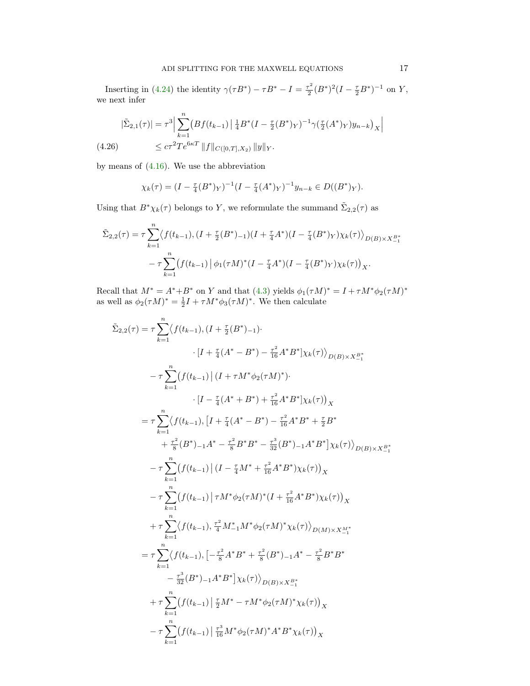Inserting in [\(4.24\)](#page-15-0) the identity  $\gamma(\tau B^*) - \tau B^* - I = \frac{\tau^2}{2}$  $\frac{\tau^2}{2}(B^*)^2(I-\frac{\tau}{2}B^*)^{-1}$  on Y, we next infer

<span id="page-16-0"></span>
$$
|\tilde{\Sigma}_{2,1}(\tau)| = \tau^3 \Big| \sum_{k=1}^n \big( Bf(t_{k-1}) \Big| \frac{1}{4} B^*(I - \frac{\tau}{2}(B^*)_Y)^{-1} \gamma(\frac{\tau}{2}(A^*)_Y) y_{n-k} \big)_X \Big|
$$
  
(4.26) 
$$
\leq c\tau^2 T e^{6\kappa T} \|f\|_{C([0,T],X_2)} \|y\|_Y.
$$

by means of [\(4.16\)](#page-13-1). We use the abbreviation

$$
\chi_k(\tau) = (I - \frac{\tau}{4}(B^*)_Y)^{-1} (I - \frac{\tau}{4}(A^*)_Y)^{-1} y_{n-k} \in D((B^*)_Y).
$$

Using that  $B^*\chi_k(\tau)$  belongs to Y, we reformulate the summand  $\tilde{\Sigma}_{2,2}(\tau)$  as

$$
\tilde{\Sigma}_{2,2}(\tau) = \tau \sum_{k=1}^{n} \langle f(t_{k-1}), (I + \frac{\tau}{2}(B^*)_{-1})(I + \frac{\tau}{4}A^*) (I - \frac{\tau}{4}(B^*)_{Y}) \chi_k(\tau) \rangle_{D(B) \times X_{-1}^{B^*}}
$$

$$
- \tau \sum_{k=1}^{n} \left( f(t_{k-1}) \left| \phi_1(\tau M)^*(I - \frac{\tau}{4}A^*) (I - \frac{\tau}{4}(B^*)_{Y}) \chi_k(\tau) \right|_{X}.
$$

Recall that  $M^* = A^* + B^*$  on Y and that [\(4.3\)](#page-10-3) yields  $\phi_1(\tau M)^* = I + \tau M^* \phi_2(\tau M)^*$ as well as  $\phi_2(\tau M)^* = \frac{1}{2}I + \tau M^* \phi_3(\tau M)^*$ . We then calculate

$$
\tilde{\Sigma}_{2,2}(\tau) = \tau \sum_{k=1}^{n} \langle f(t_{k-1}), (I + \frac{\tau}{2}(B^*)_{-1}) \cdot \cdot \cdot [I + \frac{\tau}{4}(A^* - B^*) - \frac{\tau^2}{16}A^*B^*] \chi_k(\tau) \rangle_{D(B) \times X_{-1}^{B*}} \n- \tau \sum_{k=1}^{n} (f(t_{k-1}) | (I + \tau M^* \phi_2(\tau M)^*) \cdot \cdot \cdot [I - \frac{\tau}{4}(A^* + B^*) + \frac{\tau^2}{16}A^*B^*] \chi_k(\tau) \rangle_X \n= \tau \sum_{k=1}^{n} \langle f(t_{k-1}), [I + \frac{\tau}{4}(A^* - B^*) - \frac{\tau^2}{16}A^*B^* + \frac{\tau}{2}B^* \\ \n+ \frac{\tau^2}{8}(B^*)_{-1}A^* - \frac{\tau^2}{8}B^*B^* - \frac{\tau^3}{32}(B^*)_{-1}A^*B^*] \chi_k(\tau) \rangle_{D(B) \times X_{-1}^{B*}} \n- \tau \sum_{k=1}^{n} (f(t_{k-1}) | (I - \frac{\tau}{4}M^* + \frac{\tau^2}{16}A^*B^*) \chi_k(\tau) \rangle_X \n- \tau \sum_{k=1}^{n} (f(t_{k-1}) | \tau M^* \phi_2(\tau M)^* (I + \frac{\tau^2}{16}A^*B^*) \chi_k(\tau) \rangle_X \n+ \tau \sum_{k=1}^{n} \langle f(t_{k-1}), \frac{\tau^2}{4}M^*_{-1}M^* \phi_2(\tau M)^* \chi_k(\tau) \rangle_{D(M) \times X_{-1}^{M*}} \n= \tau \sum_{k=1}^{n} \langle f(t_{k-1}), [-\frac{\tau^2}{8}A^*B^* + \frac{\tau^2}{8}(B^*)_{-1}A^* - \frac{\tau^2}{8}B^*B^* \\ \n- \frac{\tau^3}{32}(B^*)_{-1}A^*B^*] \chi_k(\tau) \rangle_{D(B) \times X_{-1}^{B*}} \n+ \tau \sum_{k=1}^{n} (f(t_{k-1}) | \frac{\tau}{2}M^* - \tau M^* \phi_2(\tau M)^* \chi_k
$$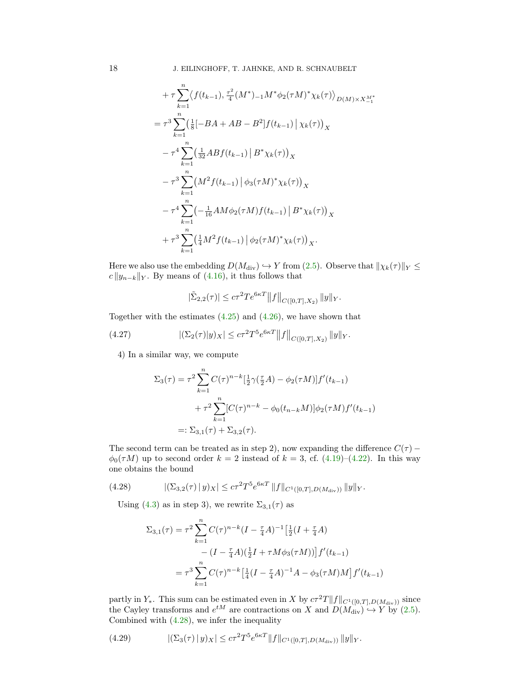$$
+ \tau \sum_{k=1}^{n} \langle f(t_{k-1}), \frac{\tau^2}{4} (M^*)_{-1} M^* \phi_2(\tau M)^* \chi_k(\tau) \rangle_{D(M) \times X_{-1}^{M^*}}
$$
  
\n
$$
= \tau^3 \sum_{k=1}^{n} \left( \frac{1}{8} [-BA + AB - B^2] f(t_{k-1}) \Big| \chi_k(\tau) \right)_{X}
$$
  
\n
$$
- \tau^4 \sum_{k=1}^{n} \left( \frac{1}{32} AB f(t_{k-1}) \Big| B^* \chi_k(\tau) \right)_{X}
$$
  
\n
$$
- \tau^3 \sum_{k=1}^{n} (M^2 f(t_{k-1}) \Big| \phi_3(\tau M)^* \chi_k(\tau) \Big)_{X}
$$
  
\n
$$
- \tau^4 \sum_{k=1}^{n} \left( -\frac{1}{16} AM \phi_2(\tau M) f(t_{k-1}) \Big| B^* \chi_k(\tau) \right)_{X}
$$
  
\n
$$
+ \tau^3 \sum_{k=1}^{n} \left( \frac{1}{4} M^2 f(t_{k-1}) \Big| \phi_2(\tau M)^* \chi_k(\tau) \right)_{X}.
$$

Here we also use the embedding  $D(M_{\text{div}}) \hookrightarrow Y$  from [\(2.5\)](#page-3-1). Observe that  $\|\chi_k(\tau)\|_Y \leq$  $c ||y_{n-k}||_Y$ . By means of [\(4.16\)](#page-13-1), it thus follows that

<span id="page-17-1"></span>
$$
|\tilde{\Sigma}_{2,2}(\tau)| \leq c\tau^2 T e^{6\kappa T} ||f||_{C([0,T],X_2)} ||y||_Y.
$$

Together with the estimates [\(4.25\)](#page-15-1) and [\(4.26\)](#page-16-0), we have shown that

(4.27) 
$$
|(\Sigma_2(\tau)|y)_X| \leq c\tau^2 T^5 e^{6\kappa T} ||f||_{C([0,T],X_2)} ||y||_Y.
$$

4) In a similar way, we compute

$$
\Sigma_3(\tau) = \tau^2 \sum_{k=1}^n C(\tau)^{n-k} \left[\frac{1}{2}\gamma(\frac{\tau}{2}A) - \phi_2(\tau M)\right] f'(t_{k-1})
$$
  
+  $\tau^2 \sum_{k=1}^n [C(\tau)^{n-k} - \phi_0(t_{n-k}M)] \phi_2(\tau M) f'(t_{k-1})$   
=:  $\Sigma_{3,1}(\tau) + \Sigma_{3,2}(\tau)$ .

The second term can be treated as in step 2), now expanding the difference  $C(\tau)$  –  $\phi_0(\tau M)$  up to second order  $k = 2$  instead of  $k = 3$ , cf. [\(4.19\)](#page-13-4)–[\(4.22\)](#page-14-1). In this way one obtains the bound

(4.28) 
$$
|(\Sigma_{3,2}(\tau) \,|\, y)_X| \leq c\tau^2 T^5 e^{6\kappa T} \, \|f\|_{C^1([0,T],D(M_{\text{div}}))} \, \|y\|_Y.
$$

Using [\(4.3\)](#page-10-3) as in step 3), we rewrite  $\Sigma_{3,1}(\tau)$  as

<span id="page-17-0"></span>
$$
\Sigma_{3,1}(\tau) = \tau^2 \sum_{k=1}^n C(\tau)^{n-k} (I - \frac{\tau}{4}A)^{-1} \left[ \frac{1}{2} (I + \frac{\tau}{4}A) - (I - \frac{\tau}{4}A)(\frac{1}{2}I + \tau M \phi_3(\tau M)) \right] f'(t_{k-1})
$$
  
= 
$$
\tau^3 \sum_{k=1}^n C(\tau)^{n-k} \left[ \frac{1}{4} (I - \frac{\tau}{4}A)^{-1}A - \phi_3(\tau M)M \right] f'(t_{k-1})
$$

partly in  $Y_*$ . This sum can be estimated even in X by  $c\tau^2T||f||_{C^1([0,T],D(M_{\text{div}}))}$  since the Cayley transforms and  $e^{tM}$  are contractions on X and  $D(M_{\text{div}}) \hookrightarrow Y$  by [\(2.5\)](#page-3-1). Combined with [\(4.28\)](#page-17-0), we infer the inequality

<span id="page-17-2"></span>(4.29) 
$$
|(\Sigma_3(\tau) \,|\, y)_X| \leq c \tau^2 T^5 e^{6\kappa T} \|f\|_{C^1([0,T],D(M_{\text{div}}))} \|y\|_Y.
$$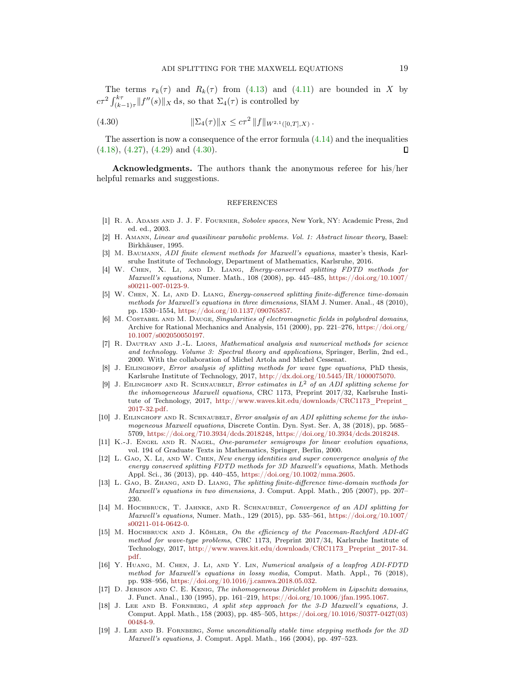The terms  $r_k(\tau)$  and  $R_k(\tau)$  from [\(4.13\)](#page-12-5) and [\(4.11\)](#page-12-6) are bounded in X by  $c\tau^2 \int_{(k-1)\tau}^{k\tau} ||f''(s)||_X \,ds$ , so that  $\Sigma_4(\tau)$  is controlled by

<span id="page-18-19"></span>(4.30) 
$$
\|\Sigma_4(\tau)\|_X \leq c\tau^2 \|f\|_{W^{2,1}([0,T],X)}.
$$

The assertion is now a consequence of the error formula  $(4.14)$  and the inequalities  $(4.18), (4.27), (4.29)$  $(4.18), (4.27), (4.29)$  $(4.18), (4.27), (4.29)$  $(4.18), (4.27), (4.29)$  $(4.18), (4.27), (4.29)$  and  $(4.30).$  $(4.30).$ П

Acknowledgments. The authors thank the anonymous referee for his/her helpful remarks and suggestions.

## REFERENCES

- <span id="page-18-14"></span>[1] R. A. Adams and J. J. F. Fournier, Sobolev spaces, New York, NY: Academic Press, 2nd ed. ed., 2003.
- <span id="page-18-15"></span>[2] H. Amann, Linear and quasilinear parabolic problems. Vol. 1: Abstract linear theory, Basel: Birkhäuser, 1995.
- <span id="page-18-13"></span>[3] M. BAUMANN, ADI finite element methods for Maxwell's equations, master's thesis, Karlsruhe Institute of Technology, Department of Mathematics, Karlsruhe, 2016.
- <span id="page-18-5"></span>[4] W. Chen, X. Li, and D. Liang, Energy-conserved splitting FDTD methods for Maxwell's equations, Numer. Math., 108 (2008), pp. 445–485, [https://doi.org/10.1007/](https://doi.org/10.1007/s00211-007-0123-9) [s00211-007-0123-9.](https://doi.org/10.1007/s00211-007-0123-9)
- <span id="page-18-6"></span>[5] W. CHEN, X. LI, AND D. LIANG, *Energy-conserved splitting finite-difference time-domain* methods for Maxwell's equations in three dimensions, SIAM J. Numer. Anal., 48 (2010), pp. 1530–1554, [https://doi.org/10.1137/090765857.](https://doi.org/10.1137/090765857)
- <span id="page-18-11"></span>[6] M. COSTABEL AND M. DAUGE, Singularities of electromagnetic fields in polyhedral domains, Archive for Rational Mechanics and Analysis, 151 (2000), pp. 221–276, [https://doi.org/](https://doi.org/10.1007/s002050050197) [10.1007/s002050050197.](https://doi.org/10.1007/s002050050197)
- <span id="page-18-17"></span>[7] R. DAUTRAY AND J.-L. LIONS, Mathematical analysis and numerical methods for science and technology. Volume 3: Spectral theory and applications, Springer, Berlin, 2nd ed., 2000. With the collaboration of Michel Artola and Michel Cessenat.
- <span id="page-18-3"></span>[8] J. EILINGHOFF, Error analysis of splitting methods for wave type equations, PhD thesis, Karlsruhe Institute of Technology, 2017, [http://dx.doi.org/10.5445/IR/1000075070.](http://dx.doi.org/10.5445/IR/1000075070)
- <span id="page-18-2"></span>[9] J. EILINGHOFF AND R. SCHNAUBELT, Error estimates in  $L^2$  of an ADI splitting scheme for the inhomogeneous Maxwell equations, CRC 1173, Preprint 2017/32, Karlsruhe Institute of Technology, 2017, [http://www.waves.kit.edu/downloads/CRC1173\\_Preprint\\_](http://www.waves.kit.edu/downloads/CRC1173_Preprint_2017-32.pdf) [2017-32.pdf.](http://www.waves.kit.edu/downloads/CRC1173_Preprint_2017-32.pdf)
- <span id="page-18-1"></span>[10] J. EILINGHOFF AND R. SCHNAUBELT, Error analysis of an ADI splitting scheme for the inhomogeneous Maxwell equations, Discrete Contin. Dyn. Syst. Ser. A, 38 (2018), pp. 5685– 5709, [https://doi.org/710.3934/dcds.2018248,](https://doi.org/710.3934/dcds.2018248) [https://doi.org/10.3934/dcds.2018248.](https://doi.org/10.3934/dcds.2018248)
- <span id="page-18-16"></span>[11] K.-J. ENGEL AND R. NAGEL, One-parameter semigroups for linear evolution equations, vol. 194 of Graduate Texts in Mathematics, Springer, Berlin, 2000.
- <span id="page-18-7"></span>[12] L. Gao, X. Li, and W. Chen, New energy identities and super convergence analysis of the energy conserved splitting FDTD methods for 3D Maxwell's equations, Math. Methods Appl. Sci., 36 (2013), pp. 440–455, [https://doi.org/10.1002/mma.2605.](https://doi.org/10.1002/mma.2605)
- <span id="page-18-8"></span>[13] L. Gao, B. Zhang, and D. Liang, The splitting finite-difference time-domain methods for Maxwell's equations in two dimensions, J. Comput. Appl. Math., 205 (2007), pp. 207– 230.
- <span id="page-18-0"></span>[14] M. HOCHBRUCK, T. JAHNKE, AND R. SCHNAUBELT, Convergence of an ADI splitting for Maxwell's equations, Numer. Math., 129 (2015), pp. 535–561, [https://doi.org/10.1007/](https://doi.org/10.1007/s00211-014-0642-0) [s00211-014-0642-0.](https://doi.org/10.1007/s00211-014-0642-0)
- <span id="page-18-12"></span>[15] M. HOCHBRUCK AND J. KÖHLER, On the efficiency of the Peaceman-Rachford ADI-dG method for wave-type problems, CRC 1173, Preprint 2017/34, Karlsruhe Institute of Technology, 2017, [http://www.waves.kit.edu/downloads/CRC1173\\_Preprint\\_2017-34.](http://www.waves.kit.edu/downloads/CRC1173_Preprint_2017-34.pdf) [pdf.](http://www.waves.kit.edu/downloads/CRC1173_Preprint_2017-34.pdf)
- <span id="page-18-4"></span>[16] Y. Huang, M. Chen, J. Li, and Y. Lin, Numerical analysis of a leapfrog ADI-FDTD method for Maxwell's equations in lossy media, Comput. Math. Appl., 76 (2018), pp. 938–956, [https://doi.org/10.1016/j.camwa.2018.05.032.](https://doi.org/10.1016/j.camwa.2018.05.032)
- <span id="page-18-18"></span>[17] D. Jerison and C. E. Kenig, The inhomogeneous Dirichlet problem in Lipschitz domains, J. Funct. Anal., 130 (1995), pp. 161–219, [https://doi.org/10.1006/jfan.1995.1067.](https://doi.org/10.1006/jfan.1995.1067)
- <span id="page-18-9"></span>[18] J. LEE AND B. FORNBERG, A split step approach for the 3-D Maxwell's equations, J. Comput. Appl. Math., 158 (2003), pp. 485–505, [https://doi.org/10.1016/S0377-0427\(03\)](https://doi.org/10.1016/S0377-0427(03)00484-9) [00484-9.](https://doi.org/10.1016/S0377-0427(03)00484-9)
- <span id="page-18-10"></span>[19] J. LEE AND B. FORNBERG, Some unconditionally stable time stepping methods for the 3D Maxwell's equations, J. Comput. Appl. Math., 166 (2004), pp. 497–523.